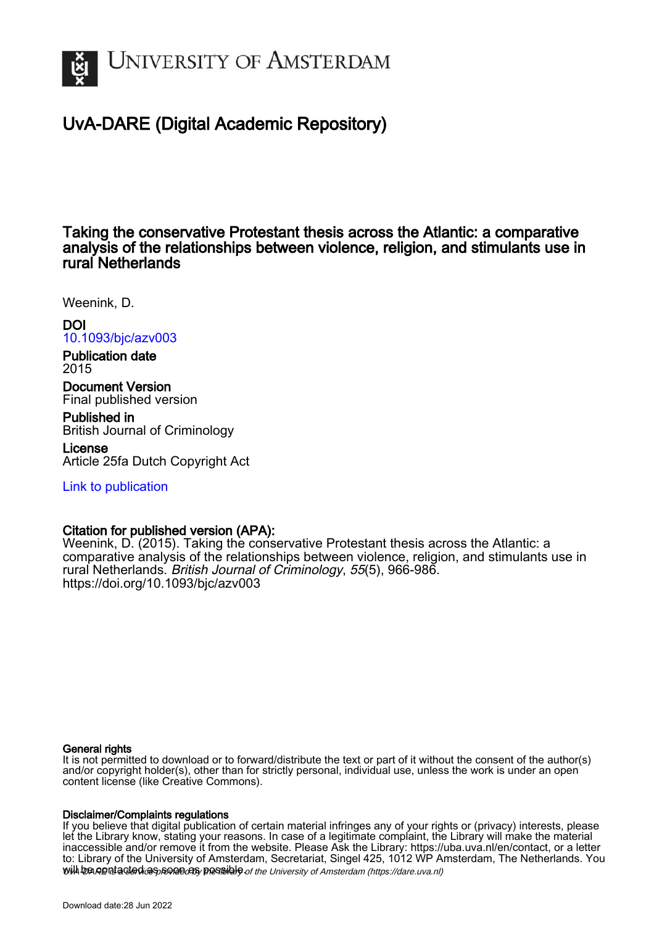

# UvA-DARE (Digital Academic Repository)

Taking the conservative Protestant thesis across the Atlantic: a comparative analysis of the relationships between violence, religion, and stimulants use in rural Netherlands

Weenink, D.

DOI [10.1093/bjc/azv003](https://doi.org/10.1093/bjc/azv003)

Publication date 2015

Document Version Final published version

Published in British Journal of Criminology

License Article 25fa Dutch Copyright Act

[Link to publication](https://dare.uva.nl/personal/pure/en/publications/taking-the-conservative-protestant-thesis-across-the-atlantic-a-comparative-analysis-of-the-relationships-between-violence-religion-and-stimulants-use-in-rural-netherlands(9f4796fe-eaac-45fc-b811-c1e884107831).html)

# Citation for published version (APA):

Weenink, D. (2015). Taking the conservative Protestant thesis across the Atlantic: a comparative analysis of the relationships between violence, religion, and stimulants use in rural Netherlands. British Journal of Criminology, 55(5), 966-986. <https://doi.org/10.1093/bjc/azv003>

# General rights

It is not permitted to download or to forward/distribute the text or part of it without the consent of the author(s) and/or copyright holder(s), other than for strictly personal, individual use, unless the work is under an open content license (like Creative Commons).

# Disclaimer/Complaints regulations

will be contacted as sontacty pessible of the University of Amsterdam (https://dare.uva.nl) If you believe that digital publication of certain material infringes any of your rights or (privacy) interests, please let the Library know, stating your reasons. In case of a legitimate complaint, the Library will make the material inaccessible and/or remove it from the website. Please Ask the Library: https://uba.uva.nl/en/contact, or a letter to: Library of the University of Amsterdam, Secretariat, Singel 425, 1012 WP Amsterdam, The Netherlands. You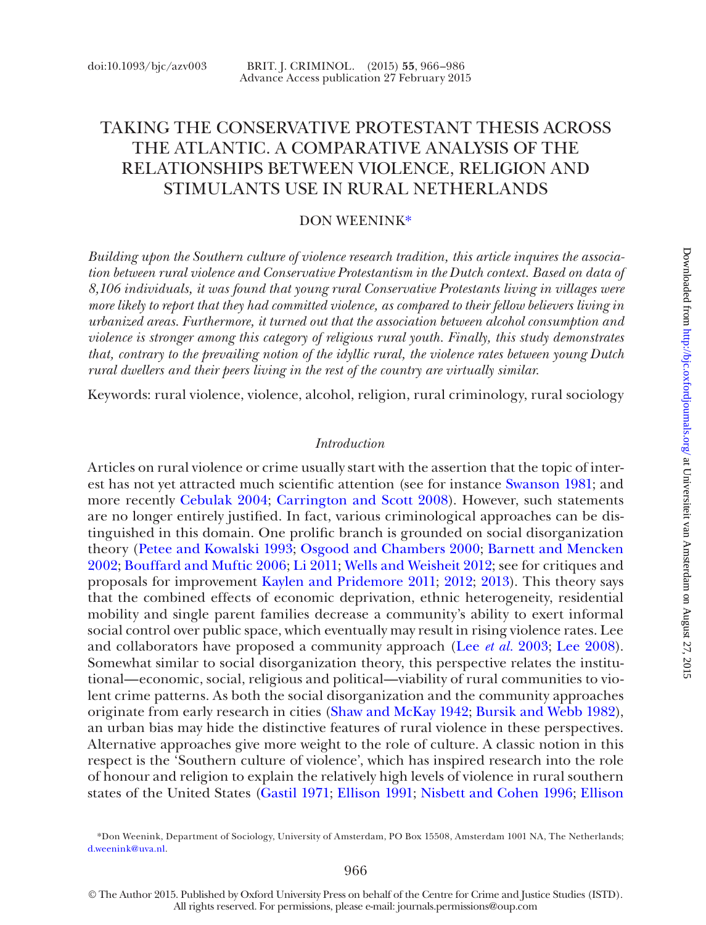# TAKING THE CONSERVATIVE PROTESTANT THESIS ACROSS THE ATLANTIC. A COMPARATIVE ANALYSIS OF THE RELATIONSHIPS BETWEEN VIOLENCE, RELIGION AND STIMULANTS USE IN RURAL NETHERLANDS

# DON WEENINK[\\*](#page-1-0)

*Building upon the Southern culture of violence research tradition, this article inquires the association between rural violence and Conservative Protestantism in the Dutch context. Based on data of 8,106 individuals, it was found that young rural Conservative Protestants living in villages were more likely to report that they had committed violence, as compared to their fellow believers living in urbanized areas. Furthermore, it turned out that the association between alcohol consumption and violence is stronger among this category of religious rural youth. Finally, this study demonstrates that, contrary to the prevailing notion of the idyllic rural, the violence rates between young Dutch rural dwellers and their peers living in the rest of the country are virtually similar.*

Keywords: rural violence, violence, alcohol, religion, rural criminology, rural sociology

# *Introduction*

Articles on rural violence or crime usually start with the assertion that the topic of interest has not yet attracted much scientific attention (see for instance [Swanson 1981](#page-21-0); and more recently [Cebulak 2004;](#page-18-0) [Carrington and Scott 2008](#page-18-1)). However, such statements are no longer entirely justified. In fact, various criminological approaches can be distinguished in this domain. One prolific branch is grounded on social disorganization theory [\(Petee and Kowalski 1993;](#page-20-0) [Osgood and Chambers 2000](#page-20-1); [Barnett and Mencken](#page-18-2) [2002;](#page-18-2) [Bouffard and Muftic 2006](#page-18-3); [Li 2011](#page-20-2); [Wells and Weisheit 2012](#page-21-1); see for critiques and proposals for improvement [Kaylen and Pridemore 2011;](#page-19-0) [2012;](#page-19-1) [2013\)](#page-19-2). This theory says that the combined effects of economic deprivation, ethnic heterogeneity, residential mobility and single parent families decrease a community's ability to exert informal social control over public space, which eventually may result in rising violence rates. Lee and collaborators have proposed a community approach (Lee *et al.* [2003;](#page-20-3) [Lee 2008\)](#page-20-4). Somewhat similar to social disorganization theory, this perspective relates the institutional—economic, social, religious and political—viability of rural communities to violent crime patterns. As both the social disorganization and the community approaches originate from early research in cities [\(Shaw and McKay 1942;](#page-20-5) [Bursik and Webb 1982\)](#page-18-4), an urban bias may hide the distinctive features of rural violence in these perspectives. Alternative approaches give more weight to the role of culture. A classic notion in this respect is the 'Southern culture of violence', which has inspired research into the role of honour and religion to explain the relatively high levels of violence in rural southern states of the United States [\(Gastil 1971](#page-19-3); [Ellison 1991;](#page-19-4) [Nisbett and Cohen 1996;](#page-20-6) [Ellison](#page-19-5)

<span id="page-1-0"></span><sup>\*</sup>Don Weenink, Department of Sociology, University of Amsterdam, PO Box 15508, Amsterdam 1001 NA, The Netherlands; [d.weenink@uva.nl.](mailto:d.weenink@uva.nl?subject=)

<sup>©</sup> The Author 2015. Published by Oxford University Press on behalf of the Centre for Crime and Justice Studies (ISTD). All rights reserved. For permissions, please e-mail: journals.permissions@oup.com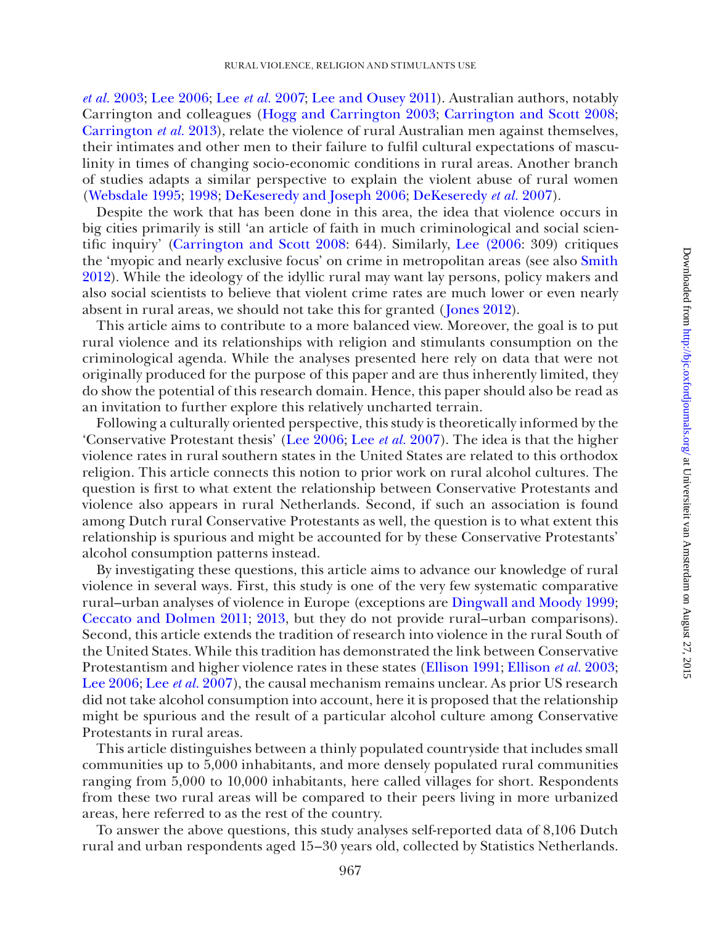*et al.* [2003](#page-19-5); [Lee 2006](#page-20-7); Lee *et al.* [2007;](#page-20-8) [Lee and Ousey 2011\)](#page-20-9). Australian authors, notably Carrington and colleagues ([Hogg and Carrington 2003;](#page-19-6) [Carrington and Scott 2008;](#page-18-1) [Carrington](#page-18-5) *et al.* 2013), relate the violence of rural Australian men against themselves, their intimates and other men to their failure to fulfil cultural expectations of masculinity in times of changing socio-economic conditions in rural areas. Another branch of studies adapts a similar perspective to explain the violent abuse of rural women ([Websdale 1995;](#page-21-2) [1998;](#page-21-3) [DeKeseredy and Joseph 2006;](#page-18-6) [DeKeseredy](#page-18-7) *et al.* 2007).

Despite the work that has been done in this area, the idea that violence occurs in big cities primarily is still 'an article of faith in much criminological and social scientific inquiry' [\(Carrington and Scott 2008](#page-18-1): 644). Similarly, [Lee \(2006:](#page-20-7) 309) critiques the 'myopic and nearly exclusive focus' on crime in metropolitan areas (see also [Smith](#page-20-10) [2012](#page-20-10)). While the ideology of the idyllic rural may want lay persons, policy makers and also social scientists to believe that violent crime rates are much lower or even nearly absent in rural areas, we should not take this for granted ([Jones 2012](#page-19-7)).

This article aims to contribute to a more balanced view. Moreover, the goal is to put rural violence and its relationships with religion and stimulants consumption on the criminological agenda. While the analyses presented here rely on data that were not originally produced for the purpose of this paper and are thus inherently limited, they do show the potential of this research domain. Hence, this paper should also be read as an invitation to further explore this relatively uncharted terrain.

Following a culturally oriented perspective, this study is theoretically informed by the 'Conservative Protestant thesis' [\(Lee 2006;](#page-20-7) Lee *et al.* [2007\)](#page-20-8). The idea is that the higher violence rates in rural southern states in the United States are related to this orthodox religion. This article connects this notion to prior work on rural alcohol cultures. The question is first to what extent the relationship between Conservative Protestants and violence also appears in rural Netherlands. Second, if such an association is found among Dutch rural Conservative Protestants as well, the question is to what extent this relationship is spurious and might be accounted for by these Conservative Protestants' alcohol consumption patterns instead.

By investigating these questions, this article aims to advance our knowledge of rural violence in several ways. First, this study is one of the very few systematic comparative rural–urban analyses of violence in Europe (exceptions are [Dingwall and Moody 1999;](#page-18-8) [Ceccato and Dolmen 2011](#page-18-9); [2013,](#page-18-10) but they do not provide rural–urban comparisons). Second, this article extends the tradition of research into violence in the rural South of the United States. While this tradition has demonstrated the link between Conservative Protestantism and higher violence rates in these states [\(Ellison 1991](#page-19-4); [Ellison](#page-19-5) *et al.* 2003; [Lee 2006;](#page-20-7) Lee *et al.* [2007\)](#page-20-8), the causal mechanism remains unclear. As prior US research did not take alcohol consumption into account, here it is proposed that the relationship might be spurious and the result of a particular alcohol culture among Conservative Protestants in rural areas.

This article distinguishes between a thinly populated countryside that includes small communities up to 5,000 inhabitants, and more densely populated rural communities ranging from 5,000 to 10,000 inhabitants, here called villages for short. Respondents from these two rural areas will be compared to their peers living in more urbanized areas, here referred to as the rest of the country.

To answer the above questions, this study analyses self-reported data of 8,106 Dutch rural and urban respondents aged 15–30 years old, collected by Statistics Netherlands.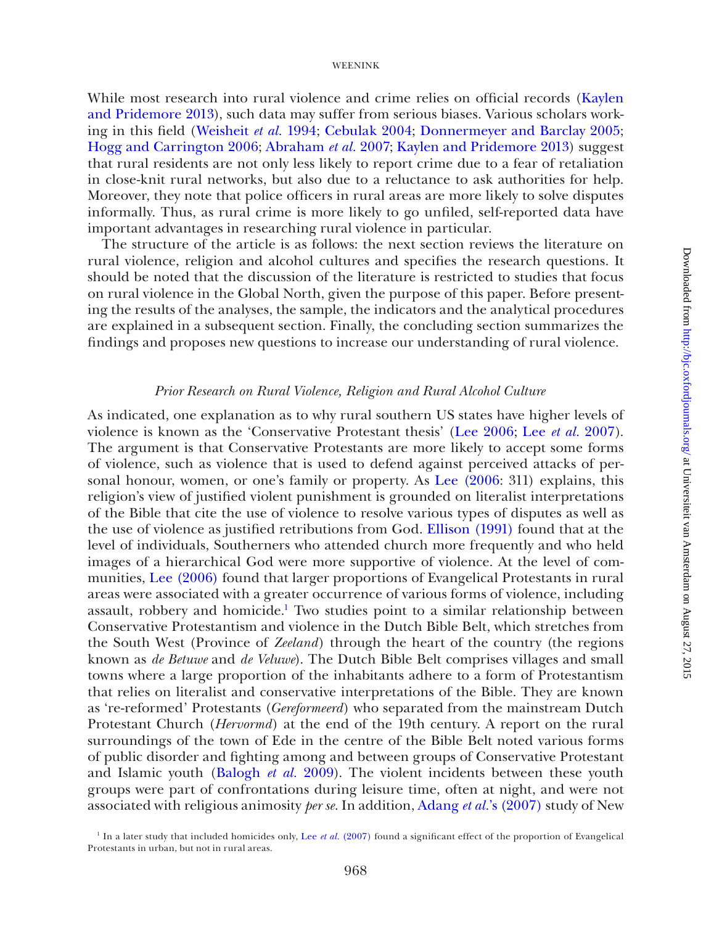While most research into rural violence and crime relies on official records [\(Kaylen](#page-19-2) [and Pridemore 2013\)](#page-19-2), such data may suffer from serious biases. Various scholars working in this field ([Weisheit](#page-21-4) *et al.* 1994; [Cebulak 2004;](#page-18-0) [Donnermeyer and Barclay 2005;](#page-18-11) [Hogg and Carrington 2006;](#page-19-8) [Abraham](#page-17-0) *et al.* 2007; [Kaylen and Pridemore 2013\)](#page-19-2) suggest that rural residents are not only less likely to report crime due to a fear of retaliation in close-knit rural networks, but also due to a reluctance to ask authorities for help. Moreover, they note that police officers in rural areas are more likely to solve disputes informally. Thus, as rural crime is more likely to go unfiled, self-reported data have important advantages in researching rural violence in particular.

The structure of the article is as follows: the next section reviews the literature on rural violence, religion and alcohol cultures and specifies the research questions. It should be noted that the discussion of the literature is restricted to studies that focus on rural violence in the Global North, given the purpose of this paper. Before presenting the results of the analyses, the sample, the indicators and the analytical procedures are explained in a subsequent section. Finally, the concluding section summarizes the findings and proposes new questions to increase our understanding of rural violence.

# *Prior Research on Rural Violence, Religion and Rural Alcohol Culture*

As indicated, one explanation as to why rural southern US states have higher levels of violence is known as the 'Conservative Protestant thesis' ([Lee 2006](#page-20-7); Lee *et al.* [2007\)](#page-20-8). The argument is that Conservative Protestants are more likely to accept some forms of violence, such as violence that is used to defend against perceived attacks of personal honour, women, or one's family or property. As [Lee \(2006:](#page-20-7) 311) explains, this religion's view of justified violent punishment is grounded on literalist interpretations of the Bible that cite the use of violence to resolve various types of disputes as well as the use of violence as justified retributions from God. [Ellison \(1991\)](#page-19-4) found that at the level of individuals, Southerners who attended church more frequently and who held images of a hierarchical God were more supportive of violence. At the level of communities, [Lee \(2006\)](#page-20-7) found that larger proportions of Evangelical Protestants in rural areas were associated with a greater occurrence of various forms of violence, including assault, robbery and homicide.<sup>1</sup> Two studies point to a similar relationship between Conservative Protestantism and violence in the Dutch Bible Belt, which stretches from the South West (Province of *Zeeland*) through the heart of the country (the regions known as *de Betuwe* and *de Veluwe*). The Dutch Bible Belt comprises villages and small towns where a large proportion of the inhabitants adhere to a form of Protestantism that relies on literalist and conservative interpretations of the Bible. They are known as 're-reformed' Protestants (*Gereformeerd*) who separated from the mainstream Dutch Protestant Church (*Hervormd*) at the end of the 19th century. A report on the rural surroundings of the town of Ede in the centre of the Bible Belt noted various forms of public disorder and fighting among and between groups of Conservative Protestant and Islamic youth ([Balogh](#page-17-1) *et al.* 2009). The violent incidents between these youth groups were part of confrontations during leisure time, often at night, and were not associated with religious animosity *per se*. In addition, Adang *et al.*['s \(2007\)](#page-17-2) study of New

<span id="page-3-0"></span><sup>&</sup>lt;sup>1</sup> In a later study that included homicides only, Lee *et al.* [\(2007\)](#page-20-8) found a significant effect of the proportion of Evangelical Protestants in urban, but not in rural areas.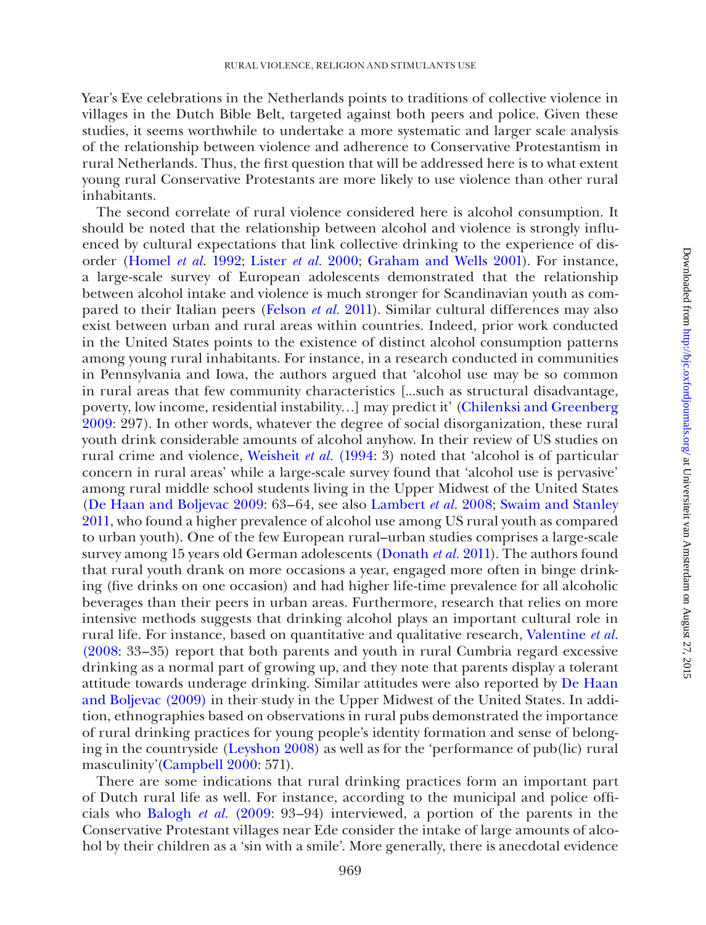Year's Eve celebrations in the Netherlands points to traditions of collective violence in villages in the Dutch Bible Belt, targeted against both peers and police. Given these studies, it seems worthwhile to undertake a more systematic and larger scale analysis of the relationship between violence and adherence to Conservative Protestantism in rural Netherlands. Thus, the first question that will be addressed here is to what extent young rural Conservative Protestants are more likely to use violence than other rural inhabitants.

The second correlate of rural violence considered here is alcohol consumption. It should be noted that the relationship between alcohol and violence is strongly influenced by cultural expectations that link collective drinking to the experience of disorder ([Homel](#page-19-9) *et al.* 1992; [Lister](#page-20-11) *et al.* 2000; [Graham and Wells 2001\)](#page-19-10). For instance, a large-scale survey of European adolescents demonstrated that the relationship between alcohol intake and violence is much stronger for Scandinavian youth as compared to their Italian peers ([Felson](#page-19-11) *et al.* 2011). Similar cultural differences may also exist between urban and rural areas within countries. Indeed, prior work conducted in the United States points to the existence of distinct alcohol consumption patterns among young rural inhabitants. For instance, in a research conducted in communities in Pennsylvania and Iowa, the authors argued that 'alcohol use may be so common in rural areas that few community characteristics [...such as structural disadvantage, poverty, low income, residential instability…] may predict it' ([Chilenksi and Greenberg](#page-18-12) [2009](#page-18-12): 297). In other words, whatever the degree of social disorganization, these rural youth drink considerable amounts of alcohol anyhow. In their review of US studies on rural crime and violence, [Weisheit](#page-21-4) *et al.* (1994: 3) noted that 'alcohol is of particular concern in rural areas' while a large-scale survey found that 'alcohol use is pervasive' among rural middle school students living in the Upper Midwest of the United States [\(De Haan and Boljevac 2009:](#page-18-13) 63–64, see also [Lambert](#page-20-12) *et al.* 2008; [Swaim and Stanley](#page-21-5) [2011](#page-21-5), who found a higher prevalence of alcohol use among US rural youth as compared to urban youth). One of the few European rural–urban studies comprises a large-scale survey among 15 years old German adolescents ([Donath](#page-18-14) *et al.* 2011). The authors found that rural youth drank on more occasions a year, engaged more often in binge drinking (five drinks on one occasion) and had higher life-time prevalence for all alcoholic beverages than their peers in urban areas. Furthermore, research that relies on more intensive methods suggests that drinking alcohol plays an important cultural role in rural life. For instance, based on quantitative and qualitative research, [Valentine](#page-21-6) *et al.* [\(2008](#page-21-6): 33–35) report that both parents and youth in rural Cumbria regard excessive drinking as a normal part of growing up, and they note that parents display a tolerant attitude towards underage drinking. Similar attitudes were also reported by [De Haan](#page-18-13) [and Boljevac \(2009\)](#page-18-13) in their study in the Upper Midwest of the United States. In addition, ethnographies based on observations in rural pubs demonstrated the importance of rural drinking practices for young people's identity formation and sense of belonging in the countryside ([Leyshon 2008\)](#page-20-13) as well as for the 'performance of pub(lic) rural masculinity'[\(Campbell 2000](#page-18-15): 571).

There are some indications that rural drinking practices form an important part of Dutch rural life as well. For instance, according to the municipal and police officials who [Balogh](#page-17-1) *et al.* (2009: 93–94) interviewed, a portion of the parents in the Conservative Protestant villages near Ede consider the intake of large amounts of alcohol by their children as a 'sin with a smile'. More generally, there is anecdotal evidence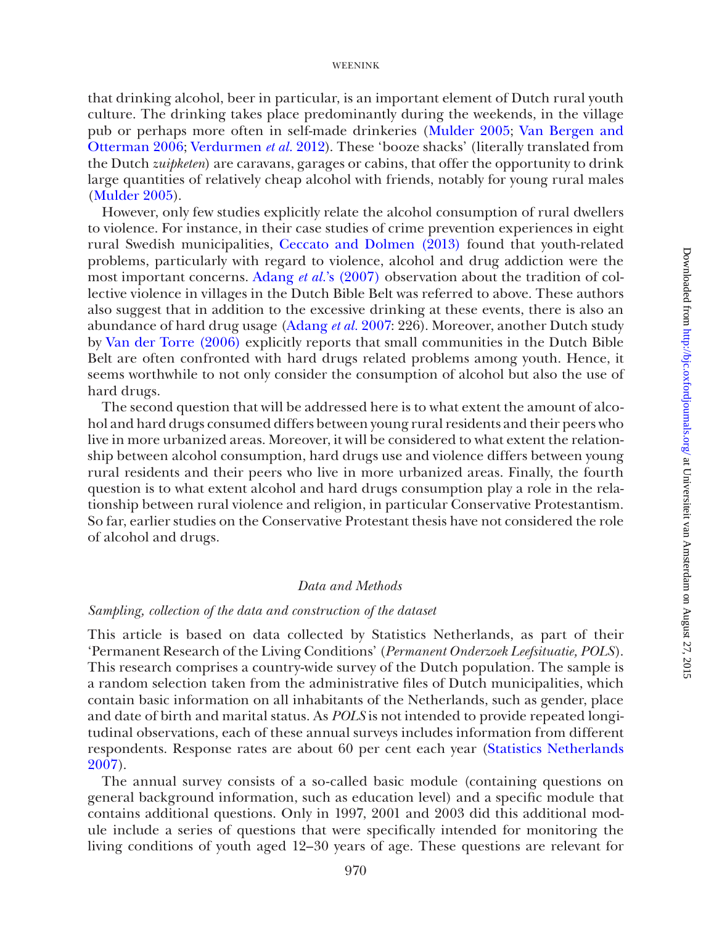that drinking alcohol, beer in particular, is an important element of Dutch rural youth culture. The drinking takes place predominantly during the weekends, in the village pub or perhaps more often in self-made drinkeries [\(Mulder 2005](#page-20-14); [Van Bergen and](#page-21-7) [Otterman 2006](#page-21-7); [Verdurmen](#page-21-8) *et al.* 2012). These 'booze shacks' (literally translated from the Dutch *zuipketen*) are caravans, garages or cabins, that offer the opportunity to drink large quantities of relatively cheap alcohol with friends, notably for young rural males [\(Mulder 2005](#page-20-14)).

However, only few studies explicitly relate the alcohol consumption of rural dwellers to violence. For instance, in their case studies of crime prevention experiences in eight rural Swedish municipalities, [Ceccato and Dolmen \(2013\)](#page-18-10) found that youth-related problems, particularly with regard to violence, alcohol and drug addiction were the most important concerns. Adang *et al.*['s \(2007\)](#page-17-2) observation about the tradition of collective violence in villages in the Dutch Bible Belt was referred to above. These authors also suggest that in addition to the excessive drinking at these events, there is also an abundance of hard drug usage ([Adang](#page-17-2) *et al.* 2007: 226). Moreover, another Dutch study by [Van der Torre \(2006\)](#page-21-9) explicitly reports that small communities in the Dutch Bible Belt are often confronted with hard drugs related problems among youth. Hence, it seems worthwhile to not only consider the consumption of alcohol but also the use of hard drugs.

The second question that will be addressed here is to what extent the amount of alcohol and hard drugs consumed differs between young rural residents and their peers who live in more urbanized areas. Moreover, it will be considered to what extent the relationship between alcohol consumption, hard drugs use and violence differs between young rural residents and their peers who live in more urbanized areas. Finally, the fourth question is to what extent alcohol and hard drugs consumption play a role in the relationship between rural violence and religion, in particular Conservative Protestantism. So far, earlier studies on the Conservative Protestant thesis have not considered the role of alcohol and drugs.

# *Data and Methods*

#### *Sampling, collection of the data and construction of the dataset*

This article is based on data collected by Statistics Netherlands, as part of their 'Permanent Research of the Living Conditions' (*Permanent Onderzoek Leefsituatie, POLS*). This research comprises a country-wide survey of the Dutch population. The sample is a random selection taken from the administrative files of Dutch municipalities, which contain basic information on all inhabitants of the Netherlands, such as gender, place and date of birth and marital status. As *POLS* is not intended to provide repeated longitudinal observations, each of these annual surveys includes information from different respondents. Response rates are about 60 per cent each year [\(Statistics Netherlands](#page-21-10) [2007\)](#page-21-10).

The annual survey consists of a so-called basic module (containing questions on general background information, such as education level) and a specific module that contains additional questions. Only in 1997, 2001 and 2003 did this additional module include a series of questions that were specifically intended for monitoring the living conditions of youth aged 12–30 years of age. These questions are relevant for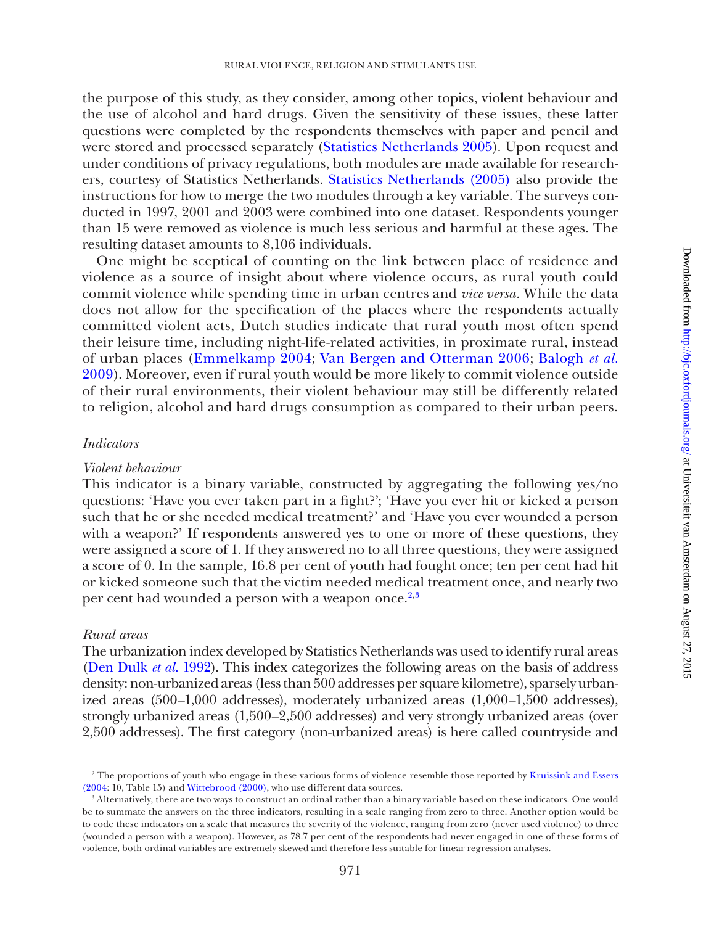the purpose of this study, as they consider, among other topics, violent behaviour and the use of alcohol and hard drugs. Given the sensitivity of these issues, these latter questions were completed by the respondents themselves with paper and pencil and were stored and processed separately ([Statistics Netherlands 2005](#page-21-11)). Upon request and under conditions of privacy regulations, both modules are made available for researchers, courtesy of Statistics Netherlands. [Statistics Netherlands \(2005\)](#page-21-11) also provide the instructions for how to merge the two modules through a key variable. The surveys conducted in 1997, 2001 and 2003 were combined into one dataset. Respondents younger than 15 were removed as violence is much less serious and harmful at these ages. The resulting dataset amounts to 8,106 individuals.

One might be sceptical of counting on the link between place of residence and violence as a source of insight about where violence occurs, as rural youth could commit violence while spending time in urban centres and *vice versa*. While the data does not allow for the specification of the places where the respondents actually committed violent acts, Dutch studies indicate that rural youth most often spend their leisure time, including night-life-related activities, in proximate rural, instead of urban places [\(Emmelkamp 2004;](#page-19-12) [Van Bergen and Otterman 2006](#page-21-7); [Balogh](#page-17-1) *et al.* [2009](#page-17-1)). Moreover, even if rural youth would be more likely to commit violence outside of their rural environments, their violent behaviour may still be differently related to religion, alcohol and hard drugs consumption as compared to their urban peers.

#### *Indicators*

#### *Violent behaviour*

This indicator is a binary variable, constructed by aggregating the following yes/no questions: 'Have you ever taken part in a fight?'; 'Have you ever hit or kicked a person such that he or she needed medical treatment?' and 'Have you ever wounded a person with a weapon?' If respondents answered yes to one or more of these questions, they were assigned a score of 1. If they answered no to all three questions, they were assigned a score of 0. In the sample, 16.8 per cent of youth had fought once; ten per cent had hit or kicked someone such that the victim needed medical treatment once, and nearly two per cent had wounded a person with a weapon once. $2,3$  $2,3$ 

#### *Rural areas*

The urbanization index developed by Statistics Netherlands was used to identify rural areas [\(Den Dulk](#page-18-16) *et al.* 1992). This index categorizes the following areas on the basis of address density: non-urbanized areas (less than 500 addresses per square kilometre), sparsely urbanized areas (500–1,000 addresses), moderately urbanized areas (1,000–1,500 addresses), strongly urbanized areas (1,500–2,500 addresses) and very strongly urbanized areas (over 2,500 addresses). The first category (non-urbanized areas) is here called countryside and

<span id="page-6-0"></span><sup>&</sup>lt;sup>2</sup> The proportions of youth who engage in these various forms of violence resemble those reported by [Kruissink and Essers](#page-19-13) [\(2004:](#page-19-13) 10, Table 15) and [Wittebrood \(2000\),](#page-21-12) who use different data sources.

<span id="page-6-1"></span><sup>3</sup> Alternatively, there are two ways to construct an ordinal rather than a binary variable based on these indicators. One would be to summate the answers on the three indicators, resulting in a scale ranging from zero to three. Another option would be to code these indicators on a scale that measures the severity of the violence, ranging from zero (never used violence) to three (wounded a person with a weapon). However, as 78.7 per cent of the respondents had never engaged in one of these forms of violence, both ordinal variables are extremely skewed and therefore less suitable for linear regression analyses.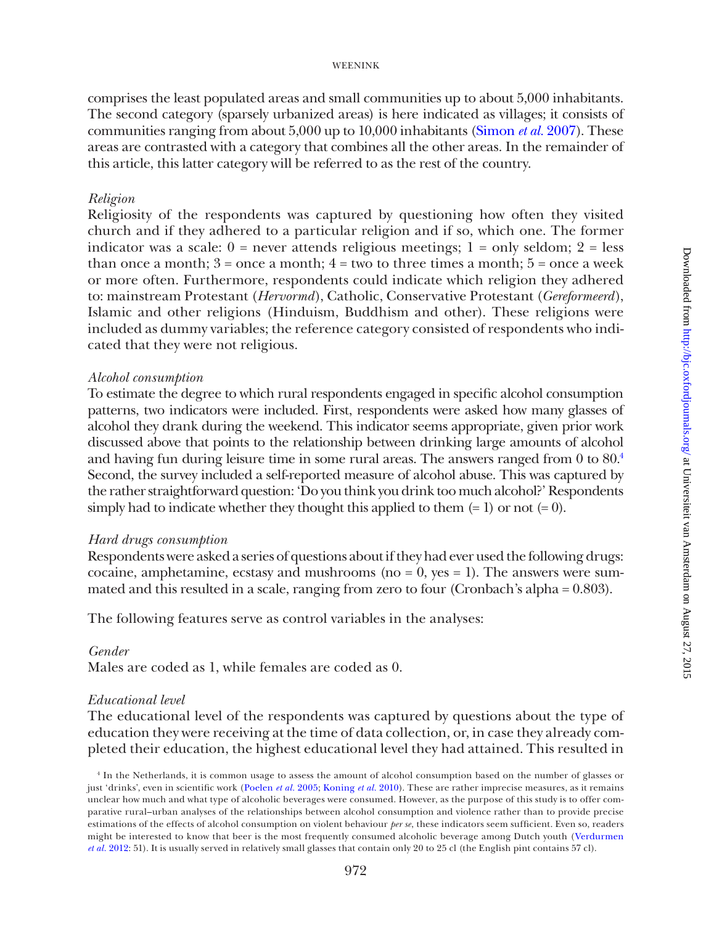comprises the least populated areas and small communities up to about 5,000 inhabitants. The second category (sparsely urbanized areas) is here indicated as villages; it consists of communities ranging from about 5,000 up to 10,000 inhabitants [\(Simon](#page-20-15) *et al.* 2007). These areas are contrasted with a category that combines all the other areas. In the remainder of this article, this latter category will be referred to as the rest of the country.

#### *Religion*

Religiosity of the respondents was captured by questioning how often they visited church and if they adhered to a particular religion and if so, which one. The former indicator was a scale:  $0 =$  never attends religious meetings;  $1 =$  only seldom;  $2 =$  less than once a month;  $3 =$  once a month;  $4 =$  two to three times a month;  $5 =$  once a week or more often. Furthermore, respondents could indicate which religion they adhered to: mainstream Protestant (*Hervormd*), Catholic, Conservative Protestant (*Gereformeerd*), Islamic and other religions (Hinduism, Buddhism and other). These religions were included as dummy variables; the reference category consisted of respondents who indicated that they were not religious.

# *Alcohol consumption*

To estimate the degree to which rural respondents engaged in specific alcohol consumption patterns, two indicators were included. First, respondents were asked how many glasses of alcohol they drank during the weekend. This indicator seems appropriate, given prior work discussed above that points to the relationship between drinking large amounts of alcohol and having fun during leisure time in some rural areas. The answers ranged from 0 to 80[.4](#page-7-0) Second, the survey included a self-reported measure of alcohol abuse. This was captured by the rather straightforward question: 'Do you think you drink too much alcohol?' Respondents simply had to indicate whether they thought this applied to them  $(= 1)$  or not  $(= 0)$ .

#### *Hard drugs consumption*

Respondents were asked a series of questions about if they had ever used the following drugs: cocaine, amphetamine, ecstasy and mushrooms ( $no = 0$ ,  $yes = 1$ ). The answers were summated and this resulted in a scale, ranging from zero to four (Cronbach's alpha = 0.803).

The following features serve as control variables in the analyses:

#### *Gender*

Males are coded as 1, while females are coded as 0.

#### *Educational level*

The educational level of the respondents was captured by questions about the type of education they were receiving at the time of data collection, or, in case they already completed their education, the highest educational level they had attained. This resulted in

<span id="page-7-0"></span><sup>4</sup> In the Netherlands, it is common usage to assess the amount of alcohol consumption based on the number of glasses or just 'drinks', even in scientific work [\(Poelen](#page-20-16) *et al.* 2005; [Koning](#page-19-14) *et al.* 2010). These are rather imprecise measures, as it remains unclear how much and what type of alcoholic beverages were consumed. However, as the purpose of this study is to offer comparative rural–urban analyses of the relationships between alcohol consumption and violence rather than to provide precise estimations of the effects of alcohol consumption on violent behaviour *per se*, these indicators seem sufficient. Even so, readers might be interested to know that beer is the most frequently consumed alcoholic beverage among Dutch youth [\(Verdurmen](#page-21-8) *et al.* [2012:](#page-21-8) 51). It is usually served in relatively small glasses that contain only 20 to 25 cl (the English pint contains 57 cl).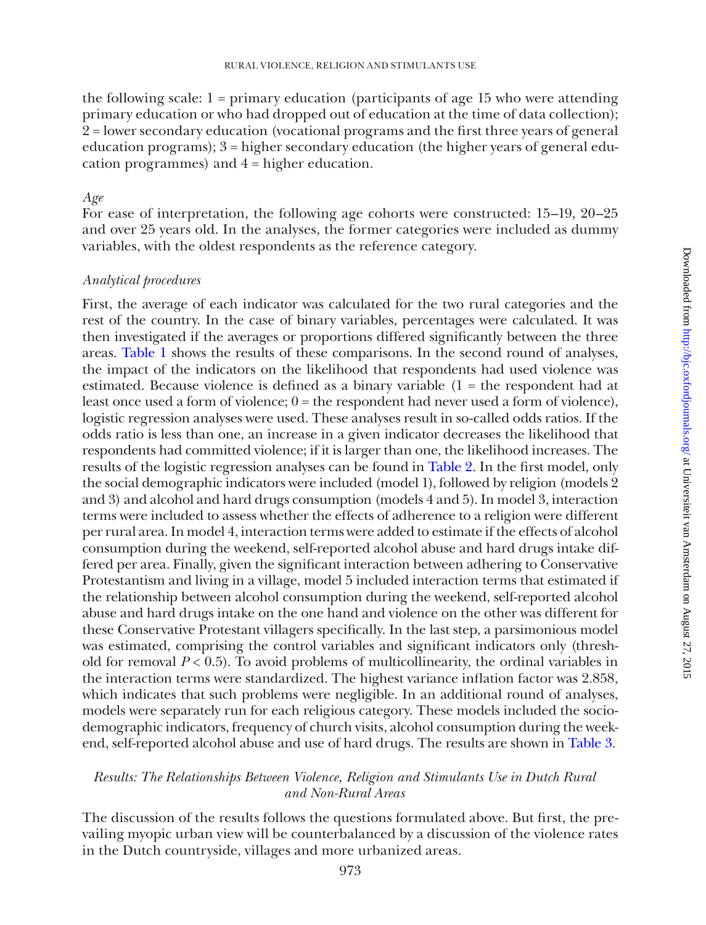the following scale:  $1 = \text{primary education}$  (participants of age 15 who were attending primary education or who had dropped out of education at the time of data collection); 2 = lower secondary education (vocational programs and the first three years of general education programs); 3 = higher secondary education (the higher years of general education programmes) and 4 = higher education.

#### *Age*

For ease of interpretation, the following age cohorts were constructed: 15–19, 20–25 and over 25 years old. In the analyses, the former categories were included as dummy variables, with the oldest respondents as the reference category.

# *Analytical procedures*

First, the average of each indicator was calculated for the two rural categories and the rest of the country. In the case of binary variables, percentages were calculated. It was then investigated if the averages or proportions differed significantly between the three areas. [Table 1](#page-9-0) shows the results of these comparisons. In the second round of analyses, the impact of the indicators on the likelihood that respondents had used violence was estimated. Because violence is defined as a binary variable  $(1 =$  the respondent had at least once used a form of violence;  $0 =$  the respondent had never used a form of violence), logistic regression analyses were used. These analyses result in so-called odds ratios. If the odds ratio is less than one, an increase in a given indicator decreases the likelihood that respondents had committed violence; if it is larger than one, the likelihood increases. The results of the logistic regression analyses can be found in [Table 2.](#page-10-0) In the first model, only the social demographic indicators were included (model 1), followed by religion (models 2 and 3) and alcohol and hard drugs consumption (models 4 and 5). In model 3, interaction terms were included to assess whether the effects of adherence to a religion were different per rural area. In model 4, interaction terms were added to estimate if the effects of alcohol consumption during the weekend, self-reported alcohol abuse and hard drugs intake differed per area. Finally, given the significant interaction between adhering to Conservative Protestantism and living in a village, model 5 included interaction terms that estimated if the relationship between alcohol consumption during the weekend, self-reported alcohol abuse and hard drugs intake on the one hand and violence on the other was different for these Conservative Protestant villagers specifically. In the last step, a parsimonious model was estimated, comprising the control variables and significant indicators only (threshold for removal  $P < 0.5$ ). To avoid problems of multicollinearity, the ordinal variables in the interaction terms were standardized. The highest variance inflation factor was 2.858, which indicates that such problems were negligible. In an additional round of analyses, models were separately run for each religious category. These models included the sociodemographic indicators, frequency of church visits, alcohol consumption during the weekend, self-reported alcohol abuse and use of hard drugs. The results are shown in [Table 3.](#page-12-0)

# *Results: The Relationships Between Violence, Religion and Stimulants Use in Dutch Rural and Non-Rural Areas*

The discussion of the results follows the questions formulated above. But first, the prevailing myopic urban view will be counterbalanced by a discussion of the violence rates in the Dutch countryside, villages and more urbanized areas.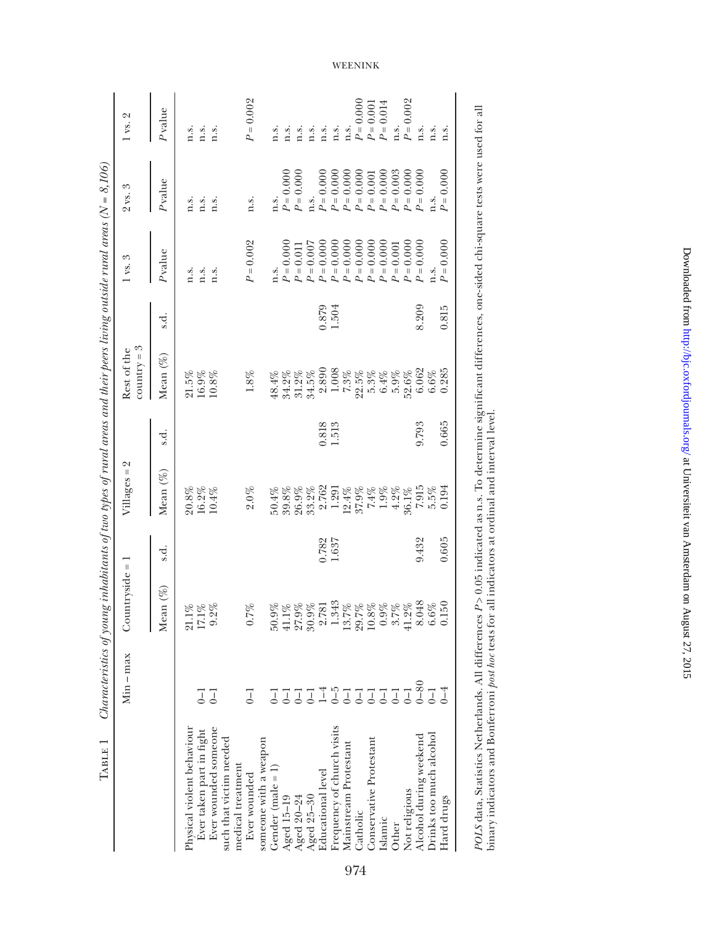<span id="page-9-0"></span>

|                                                             | $in - max$<br>≍ | $Country side =$  |       | $Villages = 2$     |       | $country = 3$<br>Rest of the                            |                  | S<br>1 vs.   | 8<br>$2$ vs. | $1$ vs. $2$ |
|-------------------------------------------------------------|-----------------|-------------------|-------|--------------------|-------|---------------------------------------------------------|------------------|--------------|--------------|-------------|
|                                                             |                 | Mean $(\%)$       | ್ಲ    | Mean (%)           | s.d.  | Mean $(\%)$                                             | s.d.             | Pyalue       | Pvalue       | Pvalue      |
| Physical violent behaviour                                  |                 | $21.1\%$          |       | $20.8\%$           |       | 21.5%                                                   |                  | n.s.         | n.s.         | n.s.        |
| Ever taken part in fight                                    | $^{-1}$         | $17.1\%$          |       | $16.2\%$           |       | $16.9\%$                                                |                  | n.s.         | n.s.         | n.s.        |
| Ever wounded someone                                        | $0-1$           | 9.2%              |       | 10.4%              |       | $10.8\%$                                                |                  | n.s.         | n.s.         | n.s.        |
| such that victim needed<br>medical treatment                |                 |                   |       |                    |       |                                                         |                  |              |              |             |
| Ever wounded                                                | $^{-1}$         | 0.7%              |       | $2.0\%$            |       | $1.8\%$                                                 |                  | $P = 0.002$  | n.s.         | $P = 0.002$ |
| someone with a weapon                                       |                 |                   |       |                    |       |                                                         |                  |              |              |             |
| Gender $(male = 1)$                                         | $-1$            | 50.9%             |       | 50.4%              |       | 48.4%                                                   |                  | n.s.         | n.s.         | n.s.        |
|                                                             |                 |                   |       | $39.8\%$           |       | $34.2\%$                                                |                  | $P = 0.000$  | $P = 0.000$  | n.s.        |
| Aged 15–19<br>Aged 20–24<br>Aged 25–30<br>Educational level | $\frac{1}{0}$   | $41.1\%$<br>27.9% |       | 26.9%              |       | $31.2\%$                                                |                  | $P = 0.011$  | $P = 0.000$  | n.s.        |
|                                                             | $\overline{-}$  | $30.9\%$          |       | 33.2%              |       | 34.5%                                                   |                  | $P = 0.007$  | n.s.         | n.s.        |
|                                                             |                 | 2.781             | 0.782 | 2.762              | 0.818 | 2.890                                                   | $0.879$<br>1.504 | $P = 0.000$  | $P = 0.000$  | n.s.        |
| Frequency of church visits                                  | $1 - 5$         | 1.343             | 1.637 | $1.291\,$          | 1.513 | 1.008                                                   |                  | $P = 0.000$  | $P = 0.000$  | n.s.        |
| Mainstream Protestant                                       |                 | $13.7\%$          |       | $12.4\%$           |       |                                                         |                  | $P = 0.000$  | $P = 0.000$  | n.s.        |
| Catholic                                                    |                 | 29.7%             |       | $37.9\%$           |       |                                                         |                  | $P = 0.000$  | $P = 0.0000$ | $P = 0.000$ |
| Conservative Protestant                                     | <b>JJJJJJ</b>   | $10.8\%$          |       | $7.4\%$            |       | $\begin{array}{c} 7.3\% \\ 22.5\% \\ 5.3\% \end{array}$ |                  | $P = 0.000$  | $P = 0.001$  | $P = 0.001$ |
| Islamic                                                     |                 | $0.9\%$<br>3.7%   |       | $1.9\%$<br>$4.2\%$ |       | $6.4\%$                                                 |                  | $P = 0.0000$ | $P = 0.0000$ | $P = 0.014$ |
| Other                                                       |                 |                   |       |                    |       | $5.9\%$                                                 |                  | $P = 0.001$  | $P = 0.003$  | n.s.        |
| Not religious                                               |                 | $41.2\%$          |       | 36.1%              |       | 52.6%                                                   |                  | $P = 0.0000$ | $P = 0.000$  | $P = 0.002$ |
| Alcohol during weekend                                      | $0 - 80$<br>0-1 | 8.048             | 9.432 | $7.915$<br>5.5%    | 9.793 | 6.062                                                   | 8.209            | $P = 0.0000$ | $P = 0.000$  | n.s.        |
| Drinks too much alcohol                                     |                 | $6.6\%$           |       |                    |       | $6.6\%$                                                 |                  | n.s.         | n.s.         | n.s.        |
| Hard drugs                                                  |                 | 0.150             | 0.605 | 0.194              | 0.665 | 0.285                                                   | 0.815            | $P = 0.0000$ | $P = 0.000$  | n.s.        |

*POLS* data, Statistics Netherlands. All differences *P* > 0.05 indicated as n.s. To determine significant differences, one-sided chi-square tests were used for all were LCSLS sided chi-square differences, one-*POL*.3 data, Statistics Netherlands. All differences P > 0.05 indicated as n.s. 10 determine significant<br>binary indicators and Bonferroni *post hoc* tests for all indicators at ordinal and interval level. binary indicators and Bonferroni *post hoc* tests for all indicators at ordinal and interval level.

# WEENINK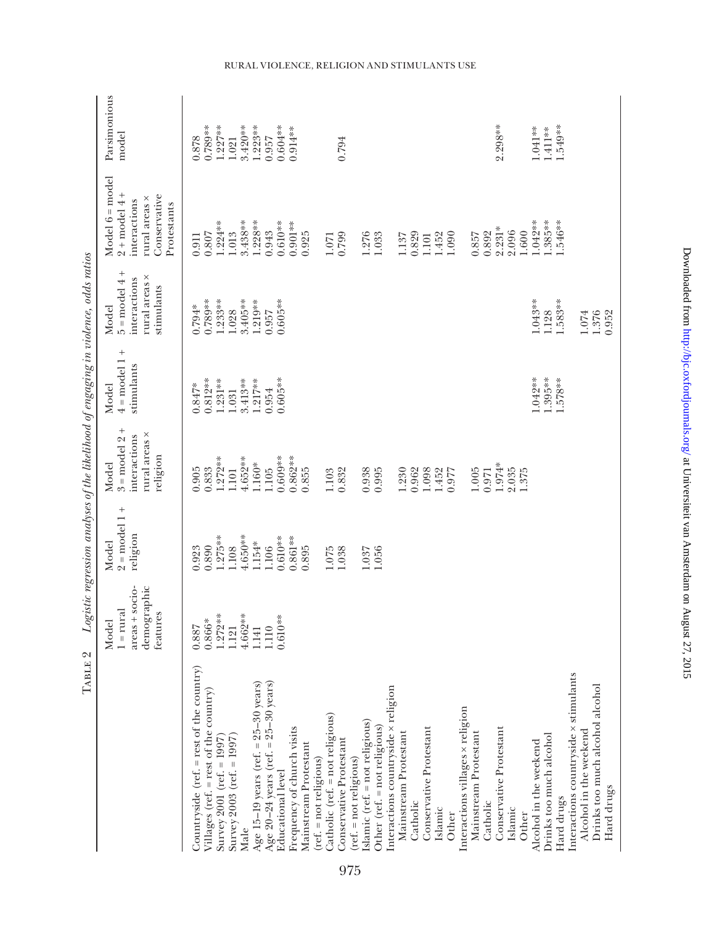<span id="page-10-0"></span>

| TABLE <sub>2</sub>                                                                                                      |                                                                               | Logistic regression analyses of the likelihood of engaging in violence, odds ratios |                                                                       |                                       |                                                                                                                 |                                                                                                    |                                     |
|-------------------------------------------------------------------------------------------------------------------------|-------------------------------------------------------------------------------|-------------------------------------------------------------------------------------|-----------------------------------------------------------------------|---------------------------------------|-----------------------------------------------------------------------------------------------------------------|----------------------------------------------------------------------------------------------------|-------------------------------------|
|                                                                                                                         | areas + socio-<br>demographic<br>$l = r \nmid r \nmid l$<br>features<br>Model | $2 = model 1 +$<br>religion<br>Model                                                | $3 = model 2 +$<br>rural areas x<br>interactions<br>religion<br>Model | $4 = model$ 1+<br>stimulants<br>Model | $\begin{array}{l} \text{Model} \\ 5=\text{model }4+ \end{array}$<br>rural areas x<br>interactions<br>stimulants | Model 6 = model<br>$2 + model 4 +$<br>Conservative<br>rural areas ×<br>interactions<br>Protestants | Parsimonious<br>model               |
| Countryside (ref. $=$ rest of the country)<br>Villages (ref. = rest of the country)                                     | 0.866*<br>0.887                                                               | 0.890<br>0.923                                                                      | $\frac{0.833}{1.272**}$<br>0.905                                      | $0.812***$<br>$0.847*$                | 0.789**<br>$0.794*$                                                                                             | 0.807<br>0.911                                                                                     | 0.789**<br>0.878                    |
| Survey 2001 (ref. = 1997)<br>Survey 2003 (ref. = 1997)<br>Male                                                          | $4.662***$<br>$1.272**$<br>1.121                                              | $1.275**$<br>$4.650***$<br>1.108                                                    | 4.652**<br>1.101                                                      | 3.413**<br>$1.231***$<br>1.031        | $3.405***$<br>$1.233***$<br>1.028                                                                               | $3.438***$<br>$1.224**$<br>1.013                                                                   | $3.420**$<br>$1.227***$<br>1.021    |
| Age 15-19 years (ref. $= 25-30$ years)<br>Age $20-24$ years (ref. = $25-30$ years)                                      | 1.110<br>1.141                                                                | 1.154*<br>1.106                                                                     | 1.160*<br>1.105                                                       | $1.217**$<br>0.954                    | 1.219**<br>0.957                                                                                                | $1.228**$<br>0.943                                                                                 | 1.223**<br>0.957                    |
| Frequency of church visits<br>Mainstream Protestant<br>Educational level                                                | $0.610**$                                                                     | $0.610**$<br>$0.861***$<br>0.895                                                    | $0.862***$<br>$0.609**$<br>0.855                                      | $0.605***$                            | $0.605***$                                                                                                      | $0.610**$<br>$0.901***$<br>0.925                                                                   | $0.604***$<br>$0.914***$            |
| (ref. = not religious)<br>Catholic (ref. = not religious)<br>Conservative Protestant<br>$(ref. = not religious)$        |                                                                               | 1.075<br>1.038                                                                      | 0.832<br>1.103                                                        |                                       |                                                                                                                 | 1.071<br>0.799                                                                                     | 0.794                               |
| Islamic (ref. = not religious)<br>Other (ref. = not religious)                                                          |                                                                               | 1.037<br>1.056                                                                      | 0.938<br>0.995                                                        |                                       |                                                                                                                 | 1.276<br>1.033                                                                                     |                                     |
| Interactions countryside x religion<br>Conservative Protestant<br>Mainstream Protestant<br>Catholic<br>Islamic<br>Other |                                                                               |                                                                                     | 0.962<br>1.098<br>1.230<br>1.452<br>0.977                             |                                       |                                                                                                                 | 0.829<br>1.452<br>1.090<br>1.137<br>1.101                                                          |                                     |
| Interactions villages x religion<br>Conservative Protestant<br>Mainstream Protestant<br>Catholic<br>Islamic<br>Other    |                                                                               |                                                                                     | 1.974*<br>$2.035$<br>$1.375$<br>1.005<br>0.971                        |                                       |                                                                                                                 | $2.231*$<br>2.096<br>0.892<br>1.600<br>0.857                                                       | 2.298**                             |
| Drinks too much alcohol<br>Alcohol in the weekend<br>Hard drugs                                                         |                                                                               |                                                                                     |                                                                       | 1.042**<br>1.395**<br>$1.578**$       | 1.043**<br>$1.583**$<br>1.128                                                                                   | $1.042***$<br>$1.385***$<br>1.546**                                                                | 1.549**<br>$1.041***$<br>$1.411***$ |
| Interactions countryside x stimulants<br>Drinks too much alcohol alcohol<br>Alcohol in the weekend<br>Hard drugs        |                                                                               |                                                                                     |                                                                       |                                       | 1.376<br>0.952<br>$1.074\,$                                                                                     |                                                                                                    |                                     |

# RURAL VIOLENCE, RELIGION AND STIMULANTS USE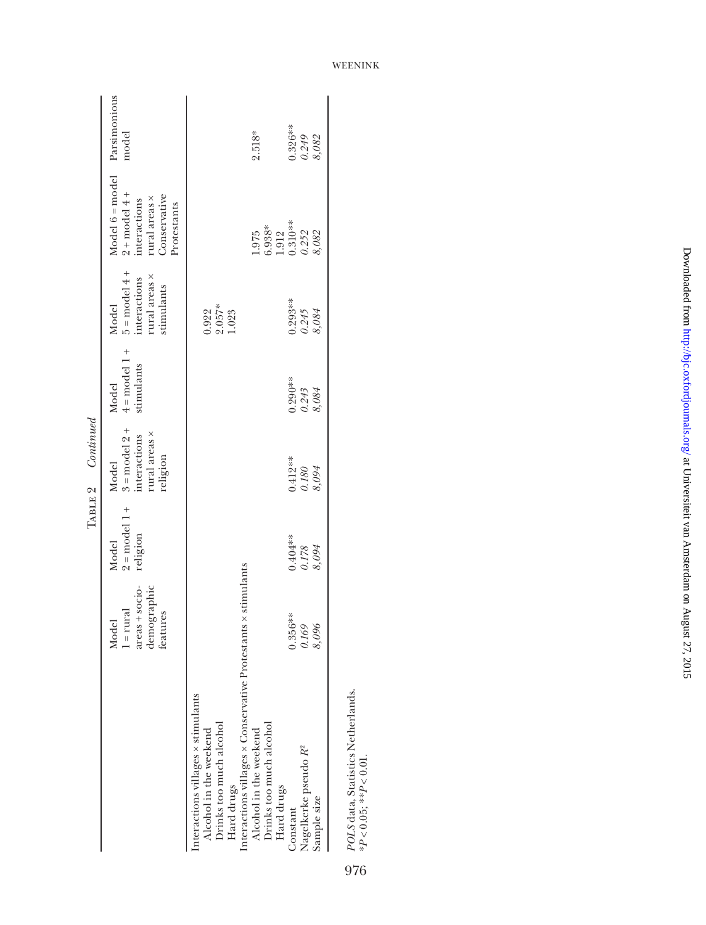|                                                                                                                    |                                                                   |                                      | $TABLE 2$ <i>Continued</i>                                                          |                                        |                                                                              |                                                                                                                          |                |
|--------------------------------------------------------------------------------------------------------------------|-------------------------------------------------------------------|--------------------------------------|-------------------------------------------------------------------------------------|----------------------------------------|------------------------------------------------------------------------------|--------------------------------------------------------------------------------------------------------------------------|----------------|
|                                                                                                                    | areas + socio-<br>demographic<br>$l = rural$<br>features<br>Model | $2 = model 1 +$<br>religion<br>Model | $3 = \hbox{model}$ 2 +<br>rural areas $\times$<br>interactions<br>religion<br>Model | $4 = model 1 +$<br>stimulants<br>Model | $5 = \hbox{model}$ 4 +<br>ural areas x<br>nteractions<br>stimulants<br>Model | Model 6 = model Parsimonious<br>$2+$ model $4\pm$<br>Conservative<br>rural areas $\times$<br>interactions<br>Protestants | model          |
| interactions villages × stimulants<br>Orinks too much alcohol<br>Alcohol in the weekend<br>Hard drugs              |                                                                   |                                      |                                                                                     |                                        | $\begin{array}{c} 0.922 \\ 2.057* \\ 1.023 \end{array}$                      |                                                                                                                          |                |
| Interactions villages x Conservative Protestants x stimulants<br>Drinks too much alcohol<br>Alcohol in the weekend |                                                                   |                                      |                                                                                     |                                        |                                                                              | $\begin{array}{l} 1.975 \\ 6.938* \\ 1.912 \\ 0.310** \\ 0.252 \end{array}$                                              | $2.518*$       |
| Hard drugs<br>Constant                                                                                             | $0.356***$                                                        | $0.404***$                           |                                                                                     |                                        | $0.293**$                                                                    |                                                                                                                          | $0.326***$     |
| Nagelkerke pseudo $R^{\scriptscriptstyle 2}$<br>sample size                                                        | $0.169$<br>8,096                                                  | $0.178$<br>$8.094$                   | $0.412***$<br>0.180<br>8.094                                                        | $0.290**$<br>0.243<br>8.084            | $0.245$<br>$8.084$                                                           | 8,082                                                                                                                    | 0.249<br>8,082 |
|                                                                                                                    |                                                                   |                                      |                                                                                     |                                        |                                                                              |                                                                                                                          |                |

> POLS data, Statistics Netherlands.<br>\*P< 0.05; \*\*P< 0.01. *POLS* data, Statistics Netherlands. \**P* < 0.05; \*\**P* < 0.01.

976

WEENINK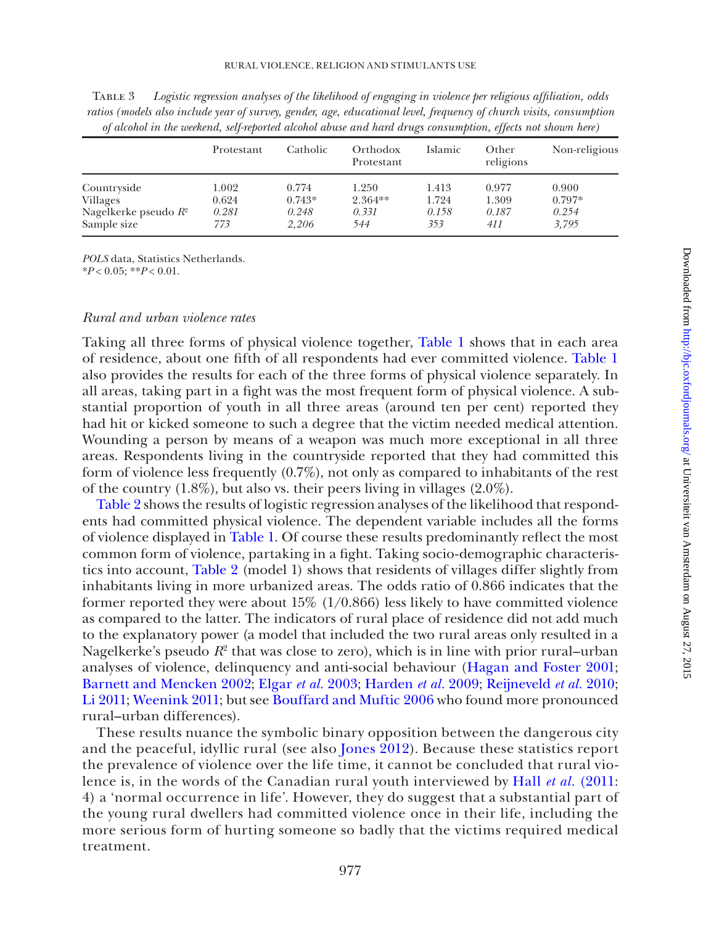|                         | Protestant | Catholic | Orthodox<br>Protestant | Islamic | Other<br>religions | Non-religious |
|-------------------------|------------|----------|------------------------|---------|--------------------|---------------|
| Countryside             | 1.002      | 0.774    | 1.250                  | 1.413   | 0.977              | 0.900         |
| Villages                | 0.624      | $0.743*$ | $2.364**$              | 1.724   | 1.309              | $0.797*$      |
| Nagelkerke pseudo $R^2$ | 0.281      | 0.248    | 0.331                  | 0.158   | 0.187              | 0.254         |
| Sample size             | 773        | 2,206    | 544                    | 353     | 411                | 3,795         |

<span id="page-12-0"></span>Table 3 *Logistic regression analyses of the likelihood of engaging in violence per religious affiliation, odds ratios (models also include year of survey, gender, age, educational level, frequency of church visits, consumption of alcohol in the weekend, self-reported alcohol abuse and hard drugs consumption, effects not shown here)*

*POLS* data, Statistics Netherlands.

 $*P < 0.05$ ;  $**P < 0.01$ .

#### *Rural and urban violence rates*

Taking all three forms of physical violence together, [Table 1](#page-9-0) shows that in each area of residence, about one fifth of all respondents had ever committed violence. [Table 1](#page-9-0) also provides the results for each of the three forms of physical violence separately. In all areas, taking part in a fight was the most frequent form of physical violence. A substantial proportion of youth in all three areas (around ten per cent) reported they had hit or kicked someone to such a degree that the victim needed medical attention. Wounding a person by means of a weapon was much more exceptional in all three areas. Respondents living in the countryside reported that they had committed this form of violence less frequently (0.7%), not only as compared to inhabitants of the rest of the country (1.8%), but also vs. their peers living in villages (2.0%).

[Table 2](#page-10-0) shows the results of logistic regression analyses of the likelihood that respondents had committed physical violence. The dependent variable includes all the forms of violence displayed in [Table 1.](#page-9-0) Of course these results predominantly reflect the most common form of violence, partaking in a fight. Taking socio-demographic characteristics into account, [Table 2](#page-10-0) (model 1) shows that residents of villages differ slightly from inhabitants living in more urbanized areas. The odds ratio of 0.866 indicates that the former reported they were about 15% (1/0.866) less likely to have committed violence as compared to the latter. The indicators of rural place of residence did not add much to the explanatory power (a model that included the two rural areas only resulted in a Nagelkerke's pseudo  $R^2$  that was close to zero), which is in line with prior rural–urban analyses of violence, delinquency and anti-social behaviour ([Hagan and Foster 2001;](#page-19-15) [Barnett and Mencken 2002](#page-18-2); [Elgar](#page-19-16) *et al.* 2003; [Harden](#page-19-17) *et al.* 2009; [Reijneveld](#page-20-17) *et al.* 2010; [Li 2011](#page-20-2); [Weenink 2011;](#page-21-13) but see [Bouffard and Muftic 2006](#page-18-3) who found more pronounced rural–urban differences).

These results nuance the symbolic binary opposition between the dangerous city and the peaceful, idyllic rural (see also [Jones 2012\)](#page-19-7). Because these statistics report the prevalence of violence over the life time, it cannot be concluded that rural violence is, in the words of the Canadian rural youth interviewed by Hall *et al.* [\(2011:](#page-19-18) 4) a 'normal occurrence in life'. However, they do suggest that a substantial part of the young rural dwellers had committed violence once in their life, including the more serious form of hurting someone so badly that the victims required medical treatment.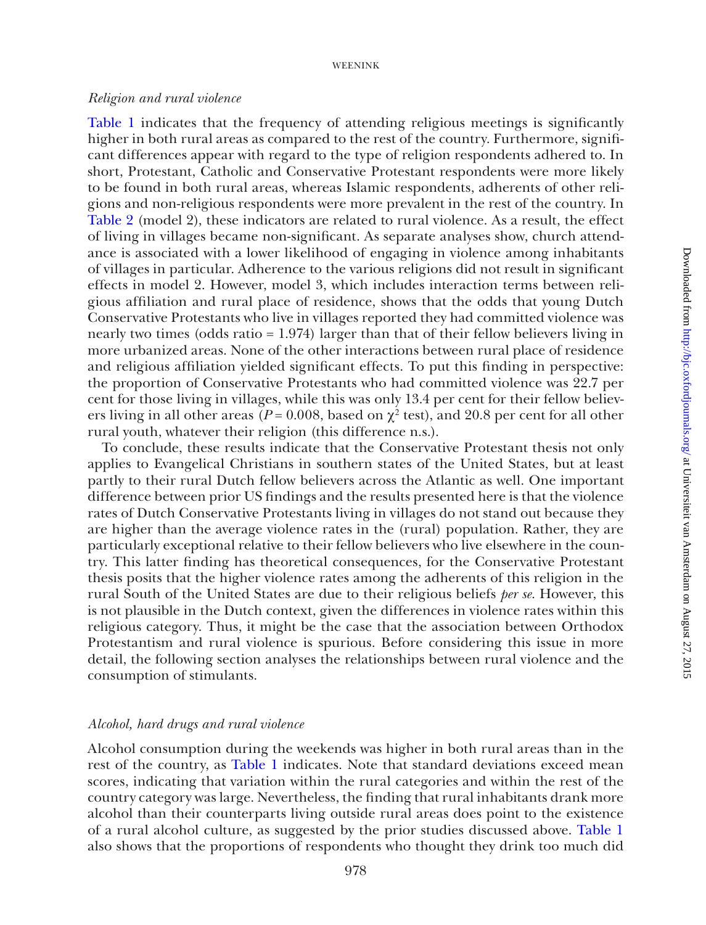# *Religion and rural violence*

Table 1 indicates that the frequency of attending religious meetings is significantly higher in both rural areas as compared to the rest of the country. Furthermore, significant differences appear with regard to the type of religion respondents adhered to. In short, Protestant, Catholic and Conservative Protestant respondents were more likely to be found in both rural areas, whereas Islamic respondents, adherents of other religions and non-religious respondents were more prevalent in the rest of the country. In [Table 2](#page-10-0) (model 2), these indicators are related to rural violence. As a result, the effect of living in villages became non-significant. As separate analyses show, church attendance is associated with a lower likelihood of engaging in violence among inhabitants of villages in particular. Adherence to the various religions did not result in significant effects in model 2. However, model 3, which includes interaction terms between religious affiliation and rural place of residence, shows that the odds that young Dutch Conservative Protestants who live in villages reported they had committed violence was nearly two times (odds ratio = 1.974) larger than that of their fellow believers living in more urbanized areas. None of the other interactions between rural place of residence and religious affiliation yielded significant effects. To put this finding in perspective: the proportion of Conservative Protestants who had committed violence was 22.7 per cent for those living in villages, while this was only 13.4 per cent for their fellow believers living in all other areas ( $P = 0.008$ , based on  $\chi^2$  test), and 20.8 per cent for all other rural youth, whatever their religion (this difference n.s.).

To conclude, these results indicate that the Conservative Protestant thesis not only applies to Evangelical Christians in southern states of the United States, but at least partly to their rural Dutch fellow believers across the Atlantic as well. One important difference between prior US findings and the results presented here is that the violence rates of Dutch Conservative Protestants living in villages do not stand out because they are higher than the average violence rates in the (rural) population. Rather, they are particularly exceptional relative to their fellow believers who live elsewhere in the country. This latter finding has theoretical consequences, for the Conservative Protestant thesis posits that the higher violence rates among the adherents of this religion in the rural South of the United States are due to their religious beliefs *per se*. However, this is not plausible in the Dutch context, given the differences in violence rates within this religious category. Thus, it might be the case that the association between Orthodox Protestantism and rural violence is spurious. Before considering this issue in more detail, the following section analyses the relationships between rural violence and the consumption of stimulants.

#### *Alcohol, hard drugs and rural violence*

Alcohol consumption during the weekends was higher in both rural areas than in the rest of the country, as [Table 1](#page-9-0) indicates. Note that standard deviations exceed mean scores, indicating that variation within the rural categories and within the rest of the country category was large. Nevertheless, the finding that rural inhabitants drank more alcohol than their counterparts living outside rural areas does point to the existence of a rural alcohol culture, as suggested by the prior studies discussed above. [Table 1](#page-9-0) also shows that the proportions of respondents who thought they drink too much did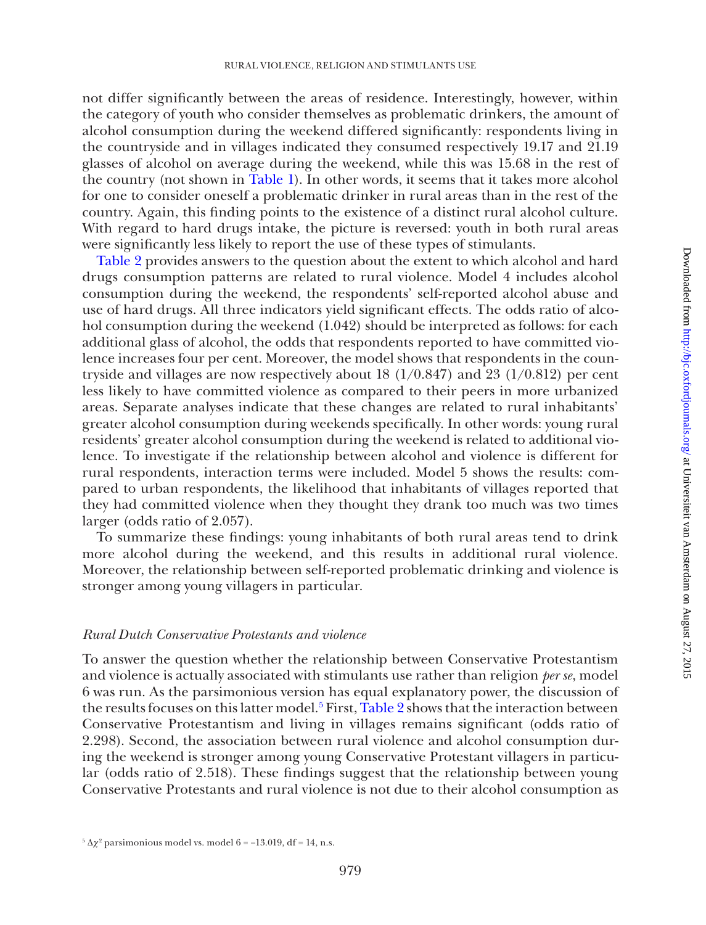not differ significantly between the areas of residence. Interestingly, however, within the category of youth who consider themselves as problematic drinkers, the amount of alcohol consumption during the weekend differed significantly: respondents living in the countryside and in villages indicated they consumed respectively 19.17 and 21.19 glasses of alcohol on average during the weekend, while this was 15.68 in the rest of the country (not shown in [Table 1\)](#page-9-0). In other words, it seems that it takes more alcohol for one to consider oneself a problematic drinker in rural areas than in the rest of the country. Again, this finding points to the existence of a distinct rural alcohol culture. With regard to hard drugs intake, the picture is reversed: youth in both rural areas were significantly less likely to report the use of these types of stimulants.

[Table 2](#page-10-0) provides answers to the question about the extent to which alcohol and hard drugs consumption patterns are related to rural violence. Model 4 includes alcohol consumption during the weekend, the respondents' self-reported alcohol abuse and use of hard drugs. All three indicators yield significant effects. The odds ratio of alcohol consumption during the weekend (1.042) should be interpreted as follows: for each additional glass of alcohol, the odds that respondents reported to have committed violence increases four per cent. Moreover, the model shows that respondents in the countryside and villages are now respectively about 18  $(1/0.847)$  and 23  $(1/0.812)$  per cent less likely to have committed violence as compared to their peers in more urbanized areas. Separate analyses indicate that these changes are related to rural inhabitants' greater alcohol consumption during weekends specifically. In other words: young rural residents' greater alcohol consumption during the weekend is related to additional violence. To investigate if the relationship between alcohol and violence is different for rural respondents, interaction terms were included. Model 5 shows the results: compared to urban respondents, the likelihood that inhabitants of villages reported that they had committed violence when they thought they drank too much was two times larger (odds ratio of 2.057).

To summarize these findings: young inhabitants of both rural areas tend to drink more alcohol during the weekend, and this results in additional rural violence. Moreover, the relationship between self-reported problematic drinking and violence is stronger among young villagers in particular.

#### *Rural Dutch Conservative Protestants and violence*

To answer the question whether the relationship between Conservative Protestantism and violence is actually associated with stimulants use rather than religion *per se*, model 6 was run. As the parsimonious version has equal explanatory power, the discussion of the results focuses on this latter model.<sup>5</sup> First, [Table 2](#page-10-0) shows that the interaction between Conservative Protestantism and living in villages remains significant (odds ratio of 2.298). Second, the association between rural violence and alcohol consumption during the weekend is stronger among young Conservative Protestant villagers in particular (odds ratio of 2.518). These findings suggest that the relationship between young Conservative Protestants and rural violence is not due to their alcohol consumption as

<span id="page-14-0"></span><sup>&</sup>lt;sup>5</sup>  $\Delta$ *χ*<sup>2</sup> parsimonious model vs. model 6 = −13.019, df = 14, n.s.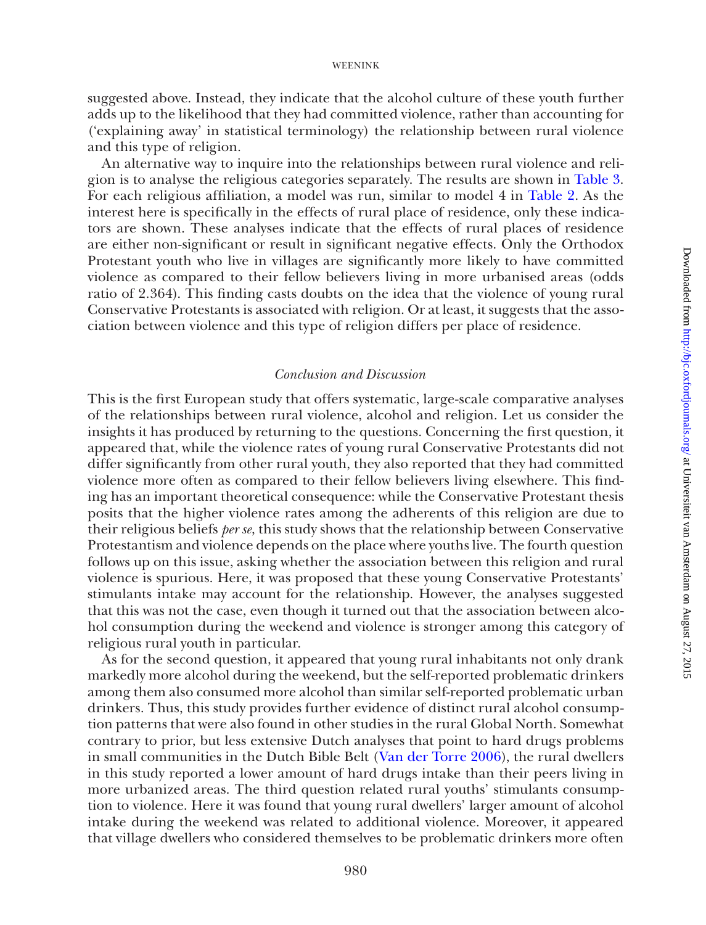suggested above. Instead, they indicate that the alcohol culture of these youth further adds up to the likelihood that they had committed violence, rather than accounting for ('explaining away' in statistical terminology) the relationship between rural violence and this type of religion.

An alternative way to inquire into the relationships between rural violence and religion is to analyse the religious categories separately. The results are shown in [Table 3.](#page-12-0) For each religious affiliation, a model was run, similar to model 4 in [Table 2](#page-10-0). As the interest here is specifically in the effects of rural place of residence, only these indicators are shown. These analyses indicate that the effects of rural places of residence are either non-significant or result in significant negative effects. Only the Orthodox Protestant youth who live in villages are significantly more likely to have committed violence as compared to their fellow believers living in more urbanised areas (odds ratio of 2.364). This finding casts doubts on the idea that the violence of young rural Conservative Protestants is associated with religion. Or at least, it suggests that the association between violence and this type of religion differs per place of residence.

# *Conclusion and Discussion*

This is the first European study that offers systematic, large-scale comparative analyses of the relationships between rural violence, alcohol and religion. Let us consider the insights it has produced by returning to the questions. Concerning the first question, it appeared that, while the violence rates of young rural Conservative Protestants did not differ significantly from other rural youth, they also reported that they had committed violence more often as compared to their fellow believers living elsewhere. This finding has an important theoretical consequence: while the Conservative Protestant thesis posits that the higher violence rates among the adherents of this religion are due to their religious beliefs *per se*, this study shows that the relationship between Conservative Protestantism and violence depends on the place where youths live. The fourth question follows up on this issue, asking whether the association between this religion and rural violence is spurious. Here, it was proposed that these young Conservative Protestants' stimulants intake may account for the relationship. However, the analyses suggested that this was not the case, even though it turned out that the association between alcohol consumption during the weekend and violence is stronger among this category of religious rural youth in particular.

As for the second question, it appeared that young rural inhabitants not only drank markedly more alcohol during the weekend, but the self-reported problematic drinkers among them also consumed more alcohol than similar self-reported problematic urban drinkers. Thus, this study provides further evidence of distinct rural alcohol consumption patterns that were also found in other studies in the rural Global North. Somewhat contrary to prior, but less extensive Dutch analyses that point to hard drugs problems in small communities in the Dutch Bible Belt ([Van der Torre 2006\)](#page-21-9), the rural dwellers in this study reported a lower amount of hard drugs intake than their peers living in more urbanized areas. The third question related rural youths' stimulants consumption to violence. Here it was found that young rural dwellers' larger amount of alcohol intake during the weekend was related to additional violence. Moreover, it appeared that village dwellers who considered themselves to be problematic drinkers more often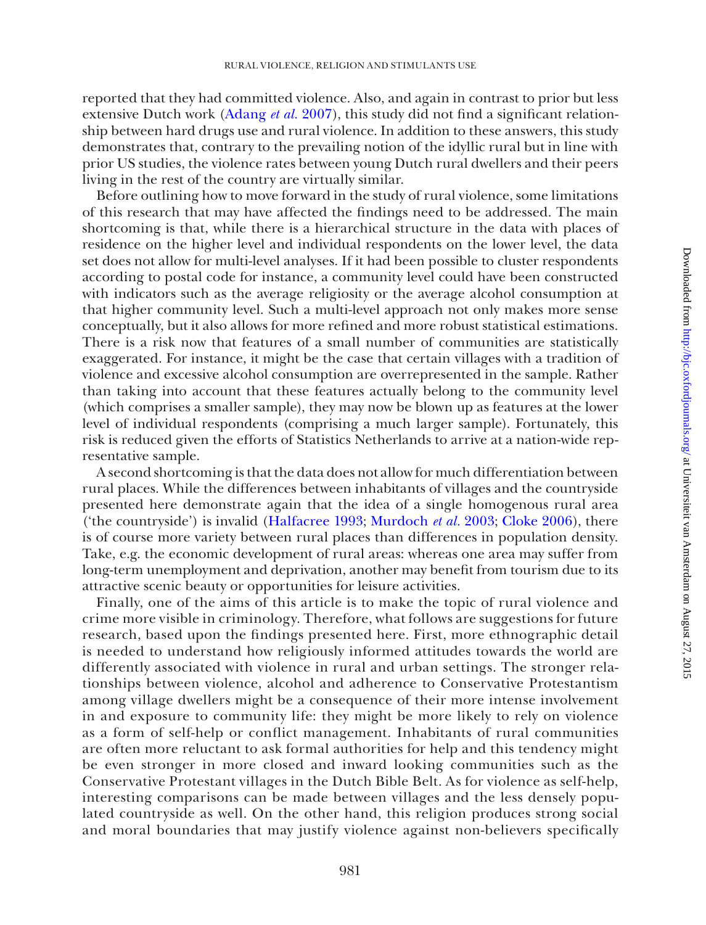reported that they had committed violence. Also, and again in contrast to prior but less extensive Dutch work [\(Adang](#page-17-2) *et al.* 2007), this study did not find a significant relationship between hard drugs use and rural violence. In addition to these answers, this study demonstrates that, contrary to the prevailing notion of the idyllic rural but in line with prior US studies, the violence rates between young Dutch rural dwellers and their peers living in the rest of the country are virtually similar.

Before outlining how to move forward in the study of rural violence, some limitations of this research that may have affected the findings need to be addressed. The main shortcoming is that, while there is a hierarchical structure in the data with places of residence on the higher level and individual respondents on the lower level, the data set does not allow for multi-level analyses. If it had been possible to cluster respondents according to postal code for instance, a community level could have been constructed with indicators such as the average religiosity or the average alcohol consumption at that higher community level. Such a multi-level approach not only makes more sense conceptually, but it also allows for more refined and more robust statistical estimations. There is a risk now that features of a small number of communities are statistically exaggerated. For instance, it might be the case that certain villages with a tradition of violence and excessive alcohol consumption are overrepresented in the sample. Rather than taking into account that these features actually belong to the community level (which comprises a smaller sample), they may now be blown up as features at the lower level of individual respondents (comprising a much larger sample). Fortunately, this risk is reduced given the efforts of Statistics Netherlands to arrive at a nation-wide representative sample.

A second shortcoming is that the data does not allow for much differentiation between rural places. While the differences between inhabitants of villages and the countryside presented here demonstrate again that the idea of a single homogenous rural area ('the countryside') is invalid [\(Halfacree 1993;](#page-19-19) [Murdoch](#page-20-18) *et al.* 2003; [Cloke 2006](#page-18-17)), there is of course more variety between rural places than differences in population density. Take, e.g. the economic development of rural areas: whereas one area may suffer from long-term unemployment and deprivation, another may benefit from tourism due to its attractive scenic beauty or opportunities for leisure activities.

Finally, one of the aims of this article is to make the topic of rural violence and crime more visible in criminology. Therefore, what follows are suggestions for future research, based upon the findings presented here. First, more ethnographic detail is needed to understand how religiously informed attitudes towards the world are differently associated with violence in rural and urban settings. The stronger relationships between violence, alcohol and adherence to Conservative Protestantism among village dwellers might be a consequence of their more intense involvement in and exposure to community life: they might be more likely to rely on violence as a form of self-help or conflict management. Inhabitants of rural communities are often more reluctant to ask formal authorities for help and this tendency might be even stronger in more closed and inward looking communities such as the Conservative Protestant villages in the Dutch Bible Belt. As for violence as self-help, interesting comparisons can be made between villages and the less densely populated countryside as well. On the other hand, this religion produces strong social and moral boundaries that may justify violence against non-believers specifically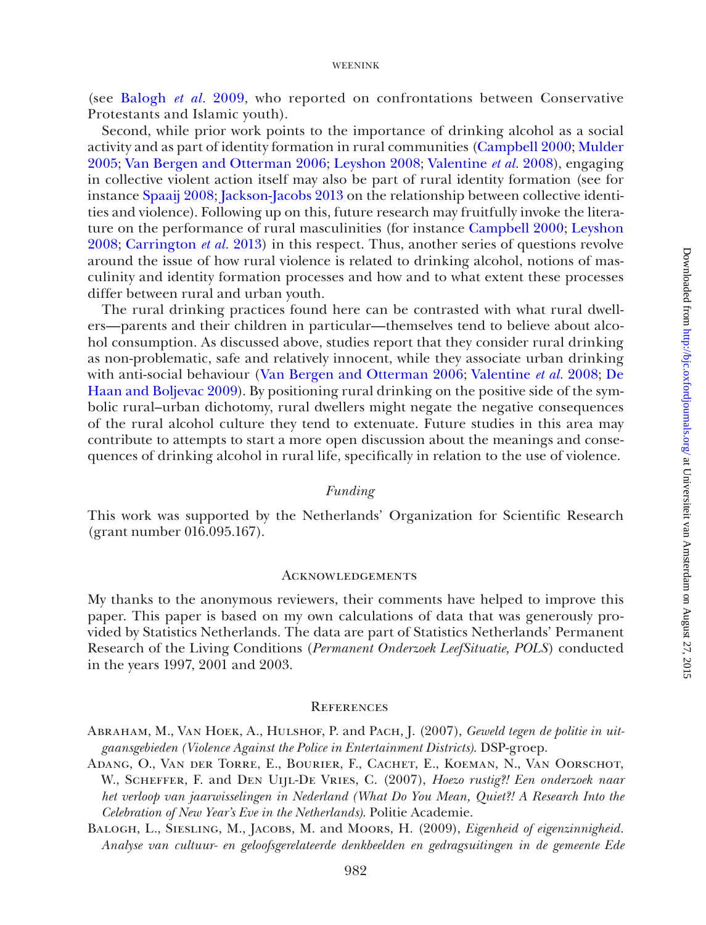(see [Balogh](#page-17-1) *et al.* 2009, who reported on confrontations between Conservative Protestants and Islamic youth).

Second, while prior work points to the importance of drinking alcohol as a social activity and as part of identity formation in rural communities [\(Campbell 2000;](#page-18-15) [Mulder](#page-20-14) [2005;](#page-20-14) [Van Bergen and Otterman 2006;](#page-21-7) [Leyshon 2008](#page-20-13); [Valentine](#page-21-6) *et al.* 2008), engaging in collective violent action itself may also be part of rural identity formation (see for instance [Spaaij 2008;](#page-21-14) [Jackson-Jacobs 2013](#page-19-20) on the relationship between collective identities and violence). Following up on this, future research may fruitfully invoke the literature on the performance of rural masculinities (for instance [Campbell 2000](#page-18-15); [Leyshon](#page-20-13) [2008;](#page-20-13) [Carrington](#page-18-5) *et al.* 2013) in this respect. Thus, another series of questions revolve around the issue of how rural violence is related to drinking alcohol, notions of masculinity and identity formation processes and how and to what extent these processes differ between rural and urban youth.

The rural drinking practices found here can be contrasted with what rural dwellers—parents and their children in particular—themselves tend to believe about alcohol consumption. As discussed above, studies report that they consider rural drinking as non-problematic, safe and relatively innocent, while they associate urban drinking with anti-social behaviour [\(Van Bergen and Otterman 2006](#page-21-7); [Valentine](#page-21-6) *et al.* 2008; [De](#page-18-13) [Haan and Boljevac 2009\)](#page-18-13). By positioning rural drinking on the positive side of the symbolic rural–urban dichotomy, rural dwellers might negate the negative consequences of the rural alcohol culture they tend to extenuate. Future studies in this area may contribute to attempts to start a more open discussion about the meanings and consequences of drinking alcohol in rural life, specifically in relation to the use of violence.

# *Funding*

This work was supported by the Netherlands' Organization for Scientific Research (grant number 016.095.167).

#### **ACKNOWLEDGEMENTS**

My thanks to the anonymous reviewers, their comments have helped to improve this paper. This paper is based on my own calculations of data that was generously provided by Statistics Netherlands. The data are part of Statistics Netherlands' Permanent Research of the Living Conditions (*Permanent Onderzoek LeefSituatie, POLS*) conducted in the years 1997, 2001 and 2003.

# **REFERENCES**

<span id="page-17-0"></span>Abraham, M., Van Hoek, A., Hulshof, P. and Pach, J. (2007), *Geweld tegen de politie in uitgaansgebieden (Violence Against the Police in Entertainment Districts)*. DSP-groep.

- <span id="page-17-2"></span>Adang, O., Van der Torre, E., Bourier, F., Cachet, E., Koeman, N., Van Oorschot, W., Scheffer, F. and Den Uijl-De Vries, C. (2007), *Hoezo rustig?! Een onderzoek naar het verloop van jaarwisselingen in Nederland (What Do You Mean, Quiet?! A Research Into the Celebration of New Year's Eve in the Netherlands)*. Politie Academie.
- <span id="page-17-1"></span>Balogh, L., Siesling, M., Jacobs, M. and Moors, H. (2009), *Eigenheid of eigenzinnigheid. Analyse van cultuur- en geloofsgerelateerde denkbeelden en gedragsuitingen in de gemeente Ede*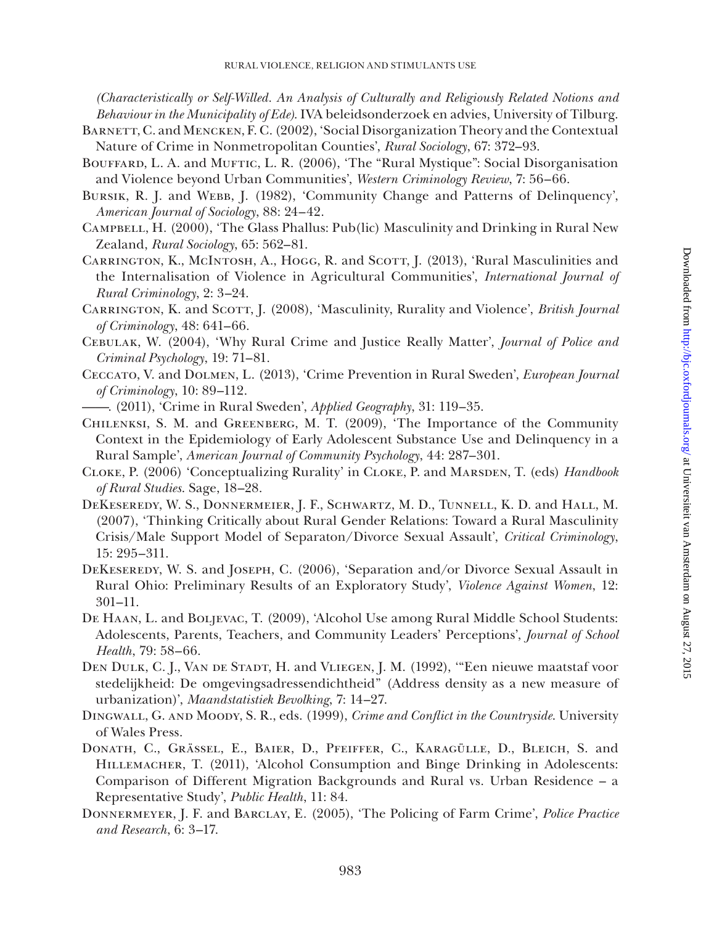#### RURAL VIOLENCE, RELIGION AND STIMULANTS USE

*(Characteristically or Self-Willed. An Analysis of Culturally and Religiously Related Notions and Behaviour in the Municipality of Ede)*. IVA beleidsonderzoek en advies, University of Tilburg.

- <span id="page-18-2"></span>BARNETT, C. and MENCKEN, F. C. (2002), 'Social Disorganization Theory and the Contextual Nature of Crime in Nonmetropolitan Counties', *Rural Sociology*, 67: 372–93.
- <span id="page-18-3"></span>BOUFFARD, L. A. and MUFTIC, L. R. (2006), 'The "Rural Mystique": Social Disorganisation and Violence beyond Urban Communities', *Western Criminology Review*, 7: 56–66.
- <span id="page-18-4"></span>BURSIK, R. J. and WEBB, J. (1982), 'Community Change and Patterns of Delinquency', *American Journal of Sociology*, 88: 24–42.
- <span id="page-18-15"></span>Campbell, H. (2000), 'The Glass Phallus: Pub(lic) Masculinity and Drinking in Rural New Zealand, *Rural Sociology*, 65: 562–81.
- <span id="page-18-5"></span>Carrington, K., McIntosh, A., Hogg, R. and Scott, J. (2013), 'Rural Masculinities and the Internalisation of Violence in Agricultural Communities', *International Journal of Rural Criminology*, 2: 3–24.
- <span id="page-18-1"></span>Carrington, K. and Scott, J. (2008), 'Masculinity, Rurality and Violence', *British Journal of Criminology*, 48: 641–66.
- <span id="page-18-0"></span>Cebulak, W. (2004), 'Why Rural Crime and Justice Really Matter', *Journal of Police and Criminal Psychology*, 19: 71–81.
- <span id="page-18-10"></span>Ceccato, V. and Dolmen, L. (2013), 'Crime Prevention in Rural Sweden', *European Journal of Criminology*, 10: 89–112.
- <span id="page-18-9"></span>——. (2011), 'Crime in Rural Sweden', *Applied Geography*, 31: 119–35.
- <span id="page-18-12"></span>Chilenksi, S. M. and Greenberg, M. T. (2009), 'The Importance of the Community Context in the Epidemiology of Early Adolescent Substance Use and Delinquency in a Rural Sample', *American Journal of Community Psychology*, 44: 287–301.
- <span id="page-18-17"></span>Cloke, P. (2006) 'Conceptualizing Rurality' in Cloke, P. and Marsden, T. (eds) *Handbook of Rural Studies*. Sage, 18–28.
- <span id="page-18-7"></span>DeKeseredy, W. S., Donnermeier, J. F., Schwartz, M. D., Tunnell, K. D. and Hall, M. (2007), 'Thinking Critically about Rural Gender Relations: Toward a Rural Masculinity Crisis/Male Support Model of Separaton/Divorce Sexual Assault', *Critical Criminology*, 15: 295–311.
- <span id="page-18-6"></span>DEKESEREDY, W. S. and JOSEPH, C. (2006), 'Separation and/or Divorce Sexual Assault in Rural Ohio: Preliminary Results of an Exploratory Study', *Violence Against Women*, 12: 301–11.
- <span id="page-18-13"></span>De Haan, L. and Boljevac, T. (2009), 'Alcohol Use among Rural Middle School Students: Adolescents, Parents, Teachers, and Community Leaders' Perceptions', *Journal of School Health*, 79: 58–66.
- <span id="page-18-16"></span>Den Dulk, C. J., Van de Stadt, H. and Vliegen, J. M. (1992), '"Een nieuwe maatstaf voor stedelijkheid: De omgevingsadressendichtheid" (Address density as a new measure of urbanization)', *Maandstatistiek Bevolking*, 7: 14–27.
- <span id="page-18-8"></span>Dingwall, G. and Moody, S. R., eds. (1999), *Crime and Conflict in the Countryside*. University of Wales Press.
- <span id="page-18-14"></span>Donath, C., Grässel, E., Baier, D., Pfeiffer, C., Karagülle, D., Bleich, S. and HILLEMACHER, T. (2011), 'Alcohol Consumption and Binge Drinking in Adolescents: Comparison of Different Migration Backgrounds and Rural vs. Urban Residence – a Representative Study', *Public Health*, 11: 84.
- <span id="page-18-11"></span>Donnermeyer, J. F. and Barclay, E. (2005), 'The Policing of Farm Crime', *Police Practice and Research*, 6: 3–17.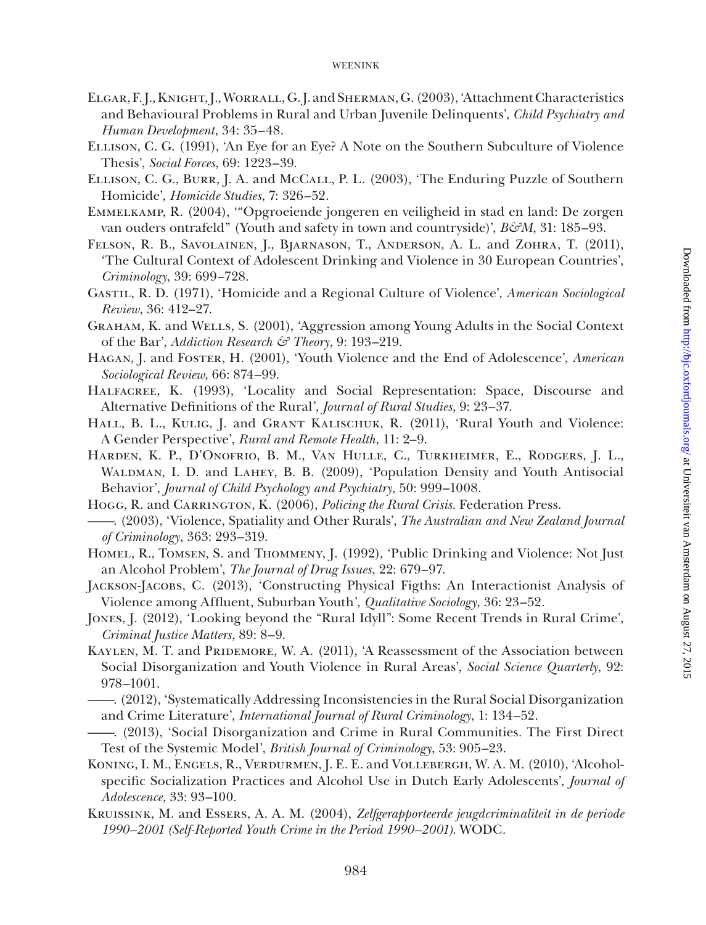- <span id="page-19-16"></span>Elgar, F. J., Knight, J., Worrall, G. J. and Sherman, G. (2003), 'Attachment Characteristics and Behavioural Problems in Rural and Urban Juvenile Delinquents', *Child Psychiatry and Human Development*, 34: 35–48.
- <span id="page-19-4"></span>Ellison, C. G. (1991), 'An Eye for an Eye? A Note on the Southern Subculture of Violence Thesis', *Social Forces*, 69: 1223–39.
- <span id="page-19-5"></span>Ellison, C. G., Burr, J. A. and McCall, P. L. (2003), 'The Enduring Puzzle of Southern Homicide', *Homicide Studies*, 7: 326–52.
- <span id="page-19-12"></span>Emmelkamp, R. (2004), '"Opgroeiende jongeren en veiligheid in stad en land: De zorgen van ouders ontrafeld" (Youth and safety in town and countryside)', *B&M*, 31: 185–93.
- <span id="page-19-11"></span>Felson, R. B., Savolainen, J., Bjarnason, T., Anderson, A. L. and Zohra, T. (2011), 'The Cultural Context of Adolescent Drinking and Violence in 30 European Countries', *Criminology*, 39: 699–728.
- <span id="page-19-3"></span>Gastil, R. D. (1971), 'Homicide and a Regional Culture of Violence', *American Sociological Review*, 36: 412–27.
- <span id="page-19-10"></span>Graham, K. and Wells, S. (2001), 'Aggression among Young Adults in the Social Context of the Bar', *Addiction Research & Theory*, 9: 193–219.
- <span id="page-19-15"></span>Hagan, J. and Foster, H. (2001), 'Youth Violence and the End of Adolescence', *American Sociological Review*, 66: 874–99.
- <span id="page-19-19"></span>Halfacree, K. (1993), 'Locality and Social Representation: Space, Discourse and Alternative Definitions of the Rural', *Journal of Rural Studies*, 9: 23–37.
- <span id="page-19-18"></span>HALL, B. L., KULIG, J. and GRANT KALISCHUK, R. (2011), 'Rural Youth and Violence: A Gender Perspective', *Rural and Remote Health*, 11: 2–9.
- <span id="page-19-17"></span>Harden, K. P., D'Onofrio, B. M., Van Hulle, C., Turkheimer, E., Rodgers, J. L., Waldman, I. D. and Lahey, B. B. (2009), 'Population Density and Youth Antisocial Behavior', *Journal of Child Psychology and Psychiatry*, 50: 999–1008.
- <span id="page-19-8"></span>Hogg, R. and Carrington, K. (2006), *Policing the Rural Crisis*. Federation Press.
- <span id="page-19-6"></span>——. (2003), 'Violence, Spatiality and Other Rurals', *The Australian and New Zealand Journal of Criminology*, 363: 293–319.
- <span id="page-19-9"></span>Homel, R., Tomsen, S. and Thommeny, J. (1992), 'Public Drinking and Violence: Not Just an Alcohol Problem', *The Journal of Drug Issues*, 22: 679–97.

<span id="page-19-20"></span>Jackson-Jacobs, C. (2013), 'Constructing Physical Figths: An Interactionist Analysis of Violence among Affluent, Suburban Youth', *Qualitative Sociology*, 36: 23–52.

- <span id="page-19-7"></span>Jones, J. (2012), 'Looking beyond the "Rural Idyll": Some Recent Trends in Rural Crime', *Criminal Justice Matters*, 89: 8–9.
- <span id="page-19-0"></span>KAYLEN, M. T. and PRIDEMORE, W. A. (2011), 'A Reassessment of the Association between Social Disorganization and Youth Violence in Rural Areas', *Social Science Quarterly*, 92: 978–1001.
- <span id="page-19-1"></span>——. (2012), 'Systematically Addressing Inconsistencies in the Rural Social Disorganization and Crime Literature', *International Journal of Rural Criminology*, 1: 134–52.
- <span id="page-19-2"></span>——. (2013), 'Social Disorganization and Crime in Rural Communities. The First Direct Test of the Systemic Model', *British Journal of Criminology*, 53: 905–23.
- <span id="page-19-14"></span>Koning, I. M., Engels, R., Verdurmen, J. E. E. and Vollebergh, W. A. M. (2010), 'Alcoholspecific Socialization Practices and Alcohol Use in Dutch Early Adolescents', *Journal of Adolescence*, 33: 93–100.
- <span id="page-19-13"></span>Kruissink, M. and Essers, A. A. M. (2004), *Zelfgerapporteerde jeugdcriminaliteit in de periode 1990–2001 (Self-Reported Youth Crime in the Period 1990–2001)*. WODC.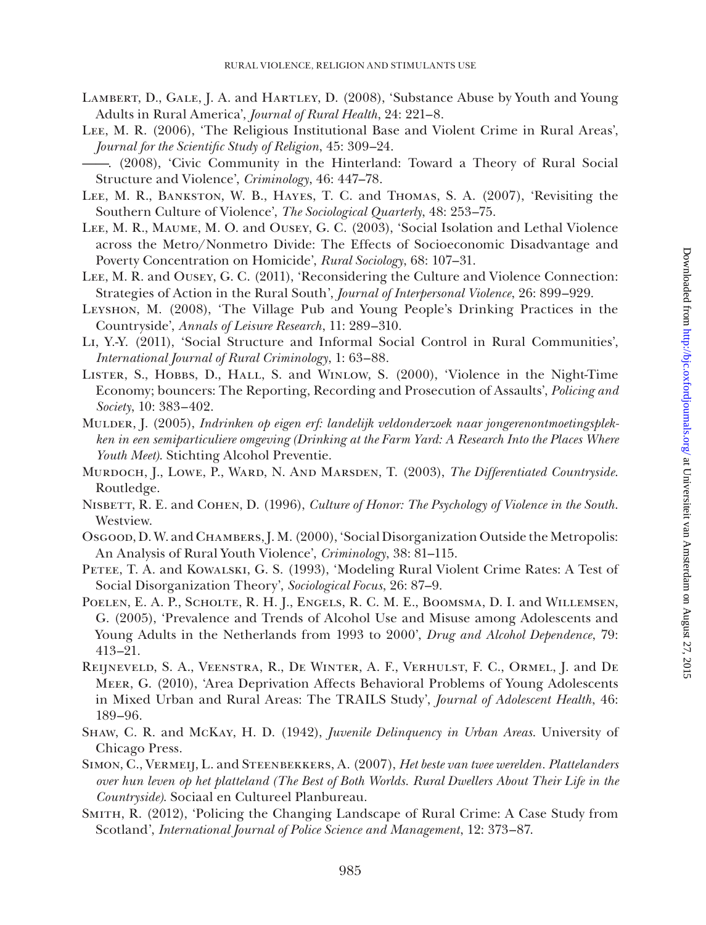- <span id="page-20-12"></span>Lambert, D., Gale, J. A. and Hartley, D. (2008), 'Substance Abuse by Youth and Young Adults in Rural America', *Journal of Rural Health*, 24: 221–8.
- <span id="page-20-7"></span>Lee, M. R. (2006), 'The Religious Institutional Base and Violent Crime in Rural Areas', *Journal for the Scientific Study of Religion*, 45: 309–24.
- <span id="page-20-4"></span>——. (2008), 'Civic Community in the Hinterland: Toward a Theory of Rural Social Structure and Violence', *Criminology*, 46: 447–78.
- <span id="page-20-8"></span>Lee, M. R., Bankston, W. B., Hayes, T. C. and Thomas, S. A. (2007), 'Revisiting the Southern Culture of Violence', *The Sociological Quarterly*, 48: 253–75.
- <span id="page-20-3"></span>Lee, M. R., Maume, M. O. and Ousey, G. C. (2003), 'Social Isolation and Lethal Violence across the Metro/Nonmetro Divide: The Effects of Socioeconomic Disadvantage and Poverty Concentration on Homicide', *Rural Sociology*, 68: 107–31.
- <span id="page-20-9"></span>Lee, M. R. and Ousey, G. C. (2011), 'Reconsidering the Culture and Violence Connection: Strategies of Action in the Rural South', *Journal of Interpersonal Violence*, 26: 899–929.
- <span id="page-20-13"></span>Leyshon, M. (2008), 'The Village Pub and Young People's Drinking Practices in the Countryside', *Annals of Leisure Research*, 11: 289–310.
- <span id="page-20-2"></span>Li, Y.-Y. (2011), 'Social Structure and Informal Social Control in Rural Communities', *International Journal of Rural Criminology*, 1: 63–88.
- <span id="page-20-11"></span>Lister, S., Hobbs, D., Hall, S. and Winlow, S. (2000), 'Violence in the Night-Time Economy; bouncers: The Reporting, Recording and Prosecution of Assaults', *Policing and Society*, 10: 383–402.
- <span id="page-20-14"></span>MULDER, J. (2005), *Indrinken op eigen erf: landelijk veldonderzoek naar jongerenontmoetingsplekken in een semiparticuliere omgeving (Drinking at the Farm Yard: A Research Into the Places Where Youth Meet)*. Stichting Alcohol Preventie.
- <span id="page-20-18"></span>MURDOCH, J., LOWE, P., WARD, N. AND MARSDEN, T. (2003), *The Differentiated Countryside*. Routledge.
- <span id="page-20-6"></span>Nisbett, R. E. and Cohen, D. (1996), *Culture of Honor: The Psychology of Violence in the South*. Westview.
- <span id="page-20-1"></span>Osgood, D. W. and Chambers, J. M. (2000), 'Social Disorganization Outside the Metropolis: An Analysis of Rural Youth Violence', *Criminology*, 38: 81–115.
- <span id="page-20-0"></span>PETEE, T. A. and KOWALSKI, G. S. (1993), 'Modeling Rural Violent Crime Rates: A Test of Social Disorganization Theory', *Sociological Focus*, 26: 87–9.
- <span id="page-20-16"></span>POELEN, E. A. P., SCHOLTE, R. H. J., ENGELS, R. C. M. E., BOOMSMA, D. I. and WILLEMSEN, G. (2005), 'Prevalence and Trends of Alcohol Use and Misuse among Adolescents and Young Adults in the Netherlands from 1993 to 2000', *Drug and Alcohol Dependence*, 79: 413–21.
- <span id="page-20-17"></span>Reijneveld, S. A., Veenstra, R., De Winter, A. F., Verhulst, F. C., Ormel, J. and De Meer, G. (2010), 'Area Deprivation Affects Behavioral Problems of Young Adolescents in Mixed Urban and Rural Areas: The TRAILS Study', *Journal of Adolescent Health*, 46: 189–96.
- <span id="page-20-5"></span>Shaw, C. R. and McKay, H. D. (1942), *Juvenile Delinquency in Urban Areas*. University of Chicago Press.
- <span id="page-20-15"></span>Simon, C., Vermeij, L. and Steenbekkers, A. (2007), *Het beste van twee werelden. Plattelanders over hun leven op het platteland (The Best of Both Worlds. Rural Dwellers About Their Life in the Countryside)*. Sociaal en Cultureel Planbureau.
- <span id="page-20-10"></span>Smith, R. (2012), 'Policing the Changing Landscape of Rural Crime: A Case Study from Scotland', *International Journal of Police Science and Management*, 12: 373–87.